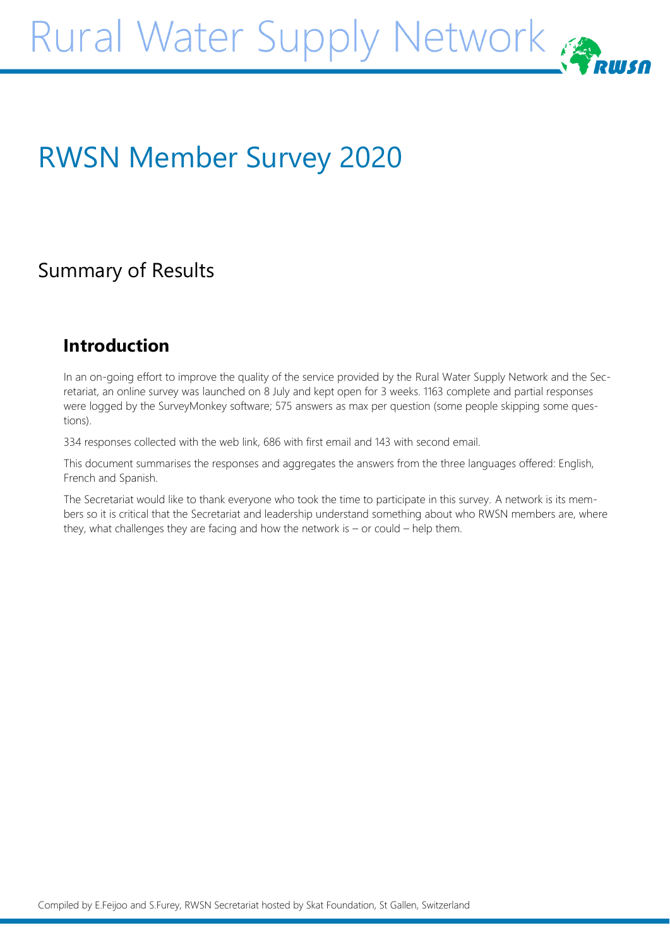# RWSN Member Survey 2020

# Summary of Results

# **Introduction**

In an on-going effort to improve the quality of the service provided by the Rural Water Supply Network and the Secretariat, an online survey was launched on 8 July and kept open for 3 weeks. 1163 complete and partial responses were logged by the SurveyMonkey software; 575 answers as max per question (some people skipping some questions).

334 responses collected with the web link, 686 with first email and 143 with second email.

This document summarises the responses and aggregates the answers from the three languages offered: English, French and Spanish.

The Secretariat would like to thank everyone who took the time to participate in this survey. A network is its members so it is critical that the Secretariat and leadership understand something about who RWSN members are, where they, what challenges they are facing and how the network is – or could – help them.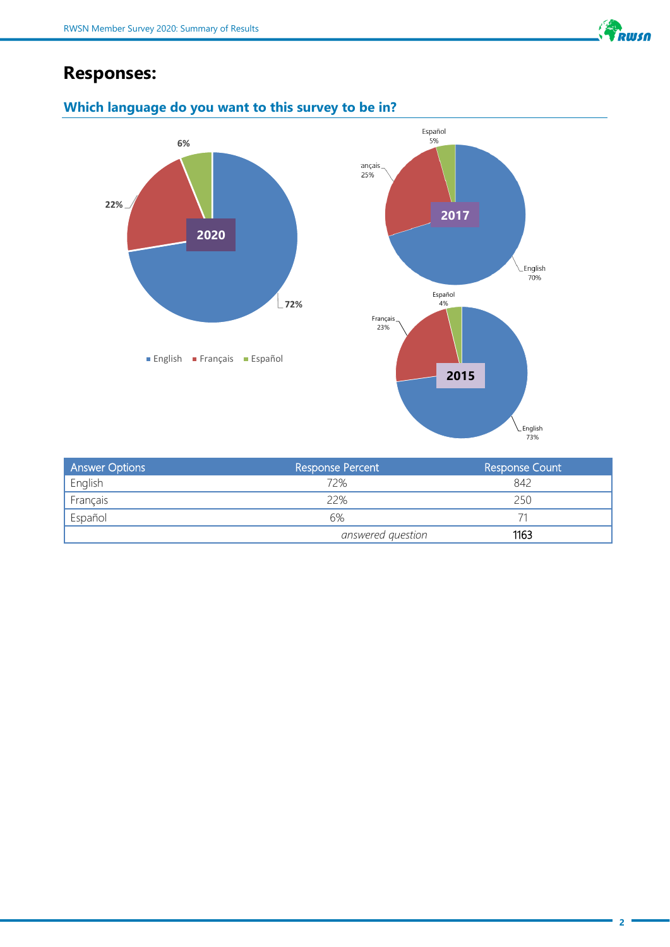

# **Responses:**



# **Which language do you want to this survey to be in?**

| <b>Answer Options</b> | <b>Response Percent</b> | <b>Response Count</b> |  |
|-----------------------|-------------------------|-----------------------|--|
| English               | 72%                     | 842                   |  |
| Français              | 22%                     | 250                   |  |
| Español               | 6%                      |                       |  |
|                       | answered question       | 1163                  |  |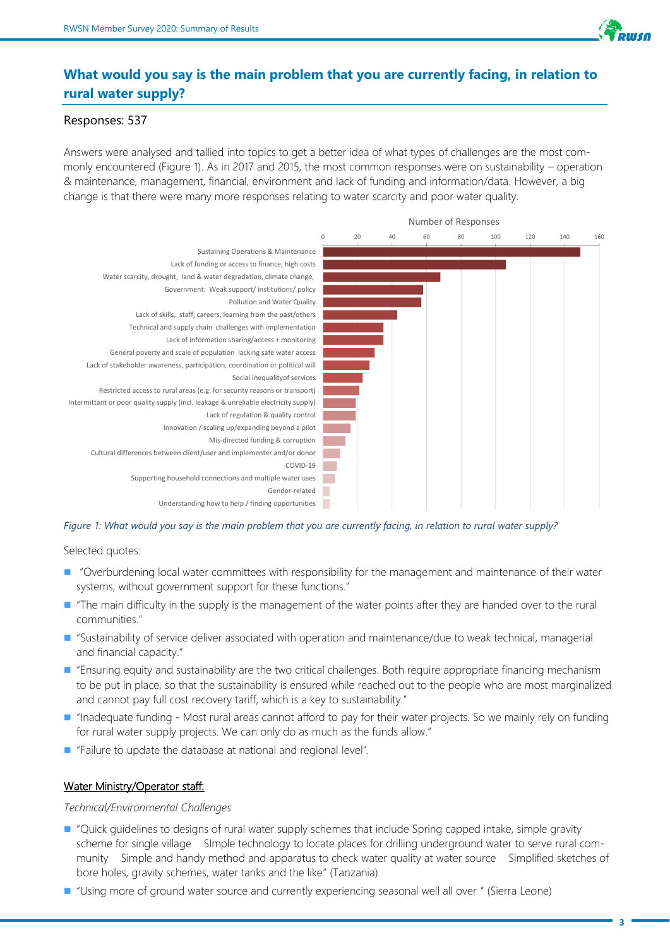

# **What would you say is the main problem that you are currently facing, in relation to rural water supply?**

#### Responses: 537

Answers were analysed and tallied into topics to get a better idea of what types of challenges are the most commonly encountered (Figure 1). As in 2017 and 2015, the most common responses were on sustainability – operation & maintenance, management, financial, environment and lack of funding and information/data. However, a big change is that there were many more responses relating to water scarcity and poor water quality.



#### *Figure 1: What would you say is the main problem that you are currently facing, in relation to rural water supply?*

Selected quotes:

- "Overburdening local water committees with responsibility for the management and maintenance of their water systems, without government support for these functions."
- "The main difficulty in the supply is the management of the water points after they are handed over to the rural communities."
- "Sustainability of service deliver associated with operation and maintenance/due to weak technical, managerial and financial capacity."
- "Ensuring equity and sustainability are the two critical challenges. Both require appropriate financing mechanism to be put in place, so that the sustainability is ensured while reached out to the people who are most marginalized and cannot pay full cost recovery tariff, which is a key to sustainability."
- "Inadequate funding Most rural areas cannot afford to pay for their water projects. So we mainly rely on funding for rural water supply projects. We can only do as much as the funds allow."
- "Failure to update the database at national and regional level".

#### Water Ministry/Operator staff:

*Technical/Environmental Challenges*

- "Quick guidelines to designs of rural water supply schemes that include Spring capped intake, simple gravity scheme for single village SImple technology to locate places for drilling underground water to serve rural community Simple and handy method and apparatus to check water quality at water source Simplified sketches of bore holes, gravity schemes, water tanks and the like" (Tanzania)
- "Using more of ground water source and currently experiencing seasonal well all over " (Sierra Leone)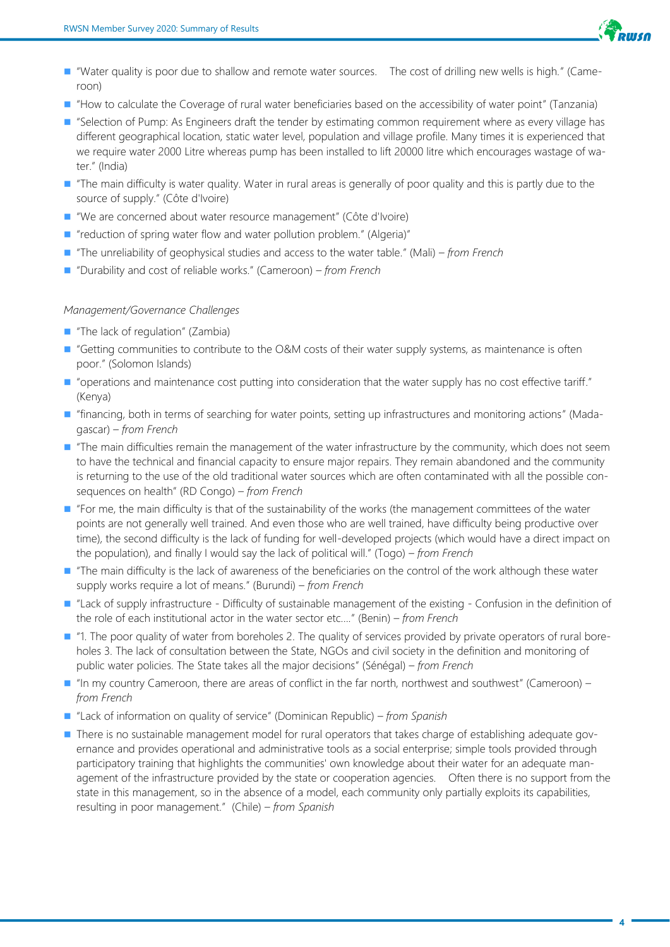

- "Water quality is poor due to shallow and remote water sources. The cost of drilling new wells is high." (Cameroon)
- "How to calculate the Coverage of rural water beneficiaries based on the accessibility of water point" (Tanzania)
- "Selection of Pump: As Engineers draft the tender by estimating common requirement where as every village has different geographical location, static water level, population and village profile. Many times it is experienced that we require water 2000 Litre whereas pump has been installed to lift 20000 litre which encourages wastage of water." (India)
- "The main difficulty is water quality. Water in rural areas is generally of poor quality and this is partly due to the source of supply." (Côte d'Ivoire)
- "We are concerned about water resource management" (Côte d'Ivoire)
- "reduction of spring water flow and water pollution problem." (Algeria)"
- "The unreliability of geophysical studies and access to the water table." (Mali)  *from French*
- ◼ "Durability and cost of reliable works." (Cameroon) *– from French*

#### *Management/Governance Challenges*

- "The lack of regulation" (Zambia)
- "Getting communities to contribute to the O&M costs of their water supply systems, as maintenance is often poor." (Solomon Islands)
- "operations and maintenance cost putting into consideration that the water supply has no cost effective tariff." (Kenya)
- "financing, both in terms of searching for water points, setting up infrastructures and monitoring actions" (Madagascar) *– from French*
- "The main difficulties remain the management of the water infrastructure by the community, which does not seem to have the technical and financial capacity to ensure major repairs. They remain abandoned and the community is returning to the use of the old traditional water sources which are often contaminated with all the possible consequences on health" (RD Congo) *– from French*
- "For me, the main difficulty is that of the sustainability of the works (the management committees of the water points are not generally well trained. And even those who are well trained, have difficulty being productive over time), the second difficulty is the lack of funding for well-developed projects (which would have a direct impact on the population), and finally I would say the lack of political will." (Togo) *– from French*
- "The main difficulty is the lack of awareness of the beneficiaries on the control of the work although these water supply works require a lot of means." (Burundi) *– from French*
- "Lack of supply infrastructure Difficulty of sustainable management of the existing Confusion in the definition of the role of each institutional actor in the water sector etc...." (Benin) *– from French*
- "1. The poor quality of water from boreholes 2. The quality of services provided by private operators of rural boreholes 3. The lack of consultation between the State, NGOs and civil society in the definition and monitoring of public water policies. The State takes all the major decisions" (Sénégal) *– from French*
- "In my country Cameroon, there are areas of conflict in the far north, northwest and southwest" (Cameroon) *from French*
- "Lack of information on quality of service" (Dominican Republic)  *from Spanish*
- There is no sustainable management model for rural operators that takes charge of establishing adequate governance and provides operational and administrative tools as a social enterprise; simple tools provided through participatory training that highlights the communities' own knowledge about their water for an adequate management of the infrastructure provided by the state or cooperation agencies. Often there is no support from the state in this management, so in the absence of a model, each community only partially exploits its capabilities, resulting in poor management." (Chile) *– from Spanish*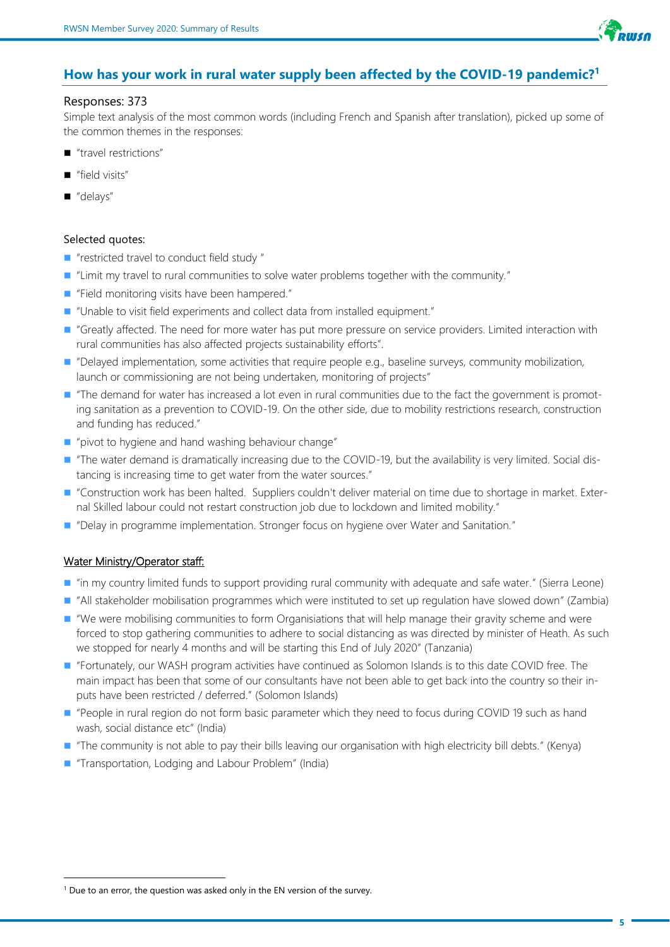

## **How has your work in rural water supply been affected by the COVID-19 pandemic?<sup>1</sup>**

#### Responses: 373

Simple text analysis of the most common words (including French and Spanish after translation), picked up some of the common themes in the responses:

- "travel restrictions"
- "field visits"
- "delays"

#### Selected quotes:

- "restricted travel to conduct field study "
- "Limit my travel to rural communities to solve water problems together with the community."
- "Field monitoring visits have been hampered."
- "Unable to visit field experiments and collect data from installed equipment."
- "Greatly affected. The need for more water has put more pressure on service providers. Limited interaction with rural communities has also affected projects sustainability efforts".
- "Delayed implementation, some activities that require people e.g., baseline surveys, community mobilization, launch or commissioning are not being undertaken, monitoring of projects"
- "The demand for water has increased a lot even in rural communities due to the fact the government is promoting sanitation as a prevention to COVID-19. On the other side, due to mobility restrictions research, construction and funding has reduced."
- "pivot to hygiene and hand washing behaviour change"
- "The water demand is dramatically increasing due to the COVID-19, but the availability is very limited. Social distancing is increasing time to get water from the water sources."
- "Construction work has been halted. Suppliers couldn't deliver material on time due to shortage in market. External Skilled labour could not restart construction job due to lockdown and limited mobility."
- "Delay in programme implementation. Stronger focus on hygiene over Water and Sanitation."

#### Water Ministry/Operator staff:

- "in my country limited funds to support providing rural community with adequate and safe water." (Sierra Leone)
- "All stakeholder mobilisation programmes which were instituted to set up regulation have slowed down" (Zambia)
- "We were mobilising communities to form Organisiations that will help manage their gravity scheme and were forced to stop gathering communities to adhere to social distancing as was directed by minister of Heath. As such we stopped for nearly 4 months and will be starting this End of July 2020" (Tanzania)
- "Fortunately, our WASH program activities have continued as Solomon Islands is to this date COVID free. The main impact has been that some of our consultants have not been able to get back into the country so their inputs have been restricted / deferred." (Solomon Islands)
- "People in rural region do not form basic parameter which they need to focus during COVID 19 such as hand wash, social distance etc" (India)
- "The community is not able to pay their bills leaving our organisation with high electricity bill debts." (Kenya)
- "Transportation, Lodging and Labour Problem" (India)

 $1$  Due to an error, the question was asked only in the EN version of the survey.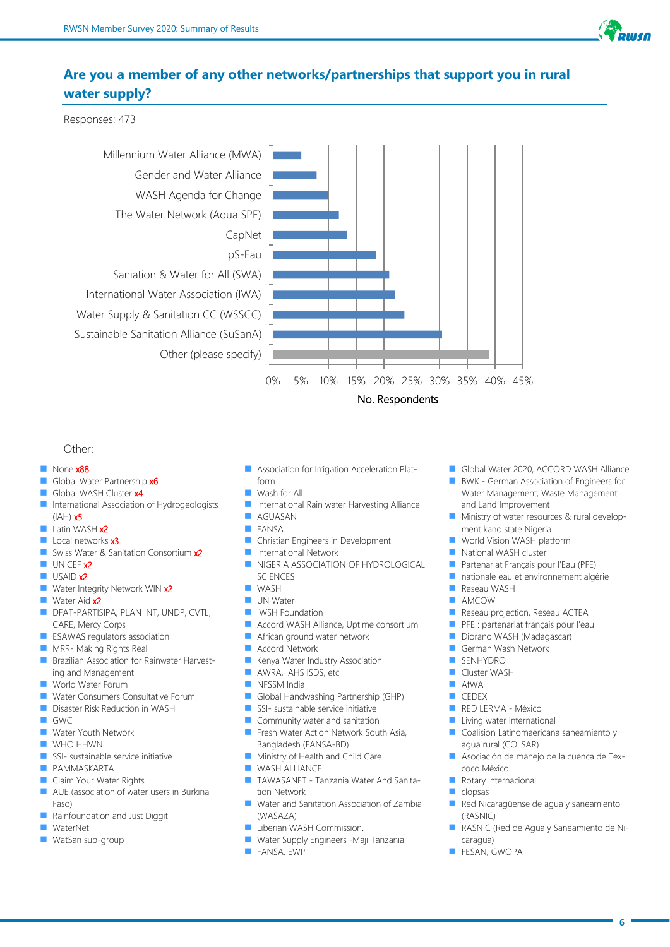

# **Are you a member of any other networks/partnerships that support you in rural water supply?**

Responses: 473



#### Other:

#### None x88

- Global Water Partnership x6
- Global WASH Cluster x4
- ◼ International Association of Hydrogeologists  $(IAH)$   $x5$
- Latin WASH x2
- Local networks x3
- Swiss Water & Sanitation Consortium x2
- $\blacksquare$  UNICEF  $x2$
- **USAID x2**
- Water Integrity Network WIN x2 Water Aid x2
- DFAT-PARTISIPA, PLAN INT, UNDP, CVTL, CARE, Mercy Corps
- ESAWAS regulators association
- MRR- Making Rights Real
- Brazilian Association for Rainwater Harvesting and Management
- World Water Forum
- Water Consumers Consultative Forum.
- ◼ Disaster Risk Reduction in WASH
- **GWC**
- Water Youth Network
- WHO HHWN
- SSI- sustainable service initiative
- PAMMASKARTA
- Claim Your Water Rights
- AUE (association of water users in Burkina Faso)
- Rainfoundation and Just Diggit
- **WaterNet**
- WatSan sub-group
- Association for Irrigation Acceleration Platform
- Wash for All
- International Rain water Harvesting Alliance ◼ AGUASAN
- **EXNSA**
- Christian Engineers in Development
- International Network
- NIGERIA ASSOCIATION OF HYDROLOGICAL SCIENCES
- WASH
- UN Water
- **IWSH Foundation**
- Accord WASH Alliance, Uptime consortium<br>■ African ground water network
- African ground water network
- **Accord Network**
- Kenya Water Industry Association
- AWRA, IAHS ISDS, etc
- NFSSM India
- Global Handwashing Partnership (GHP)
- SSI- sustainable service initiative
- Community water and sanitation
- Fresh Water Action Network South Asia, Bangladesh (FANSA-BD)
- Ministry of Health and Child Care
- WASH ALLIANCE
- TAWASANET Tanzania Water And Sanitation Network
- Water and Sanitation Association of Zambia (WASAZA)
- Liberian WASH Commission.
- Water Supply Engineers -Maji Tanzania
- FANSA, EWP
- Global Water 2020, ACCORD WASH Alliance
- BWK German Association of Engineers for Water Management, Waste Management and Land Improvement
- Ministry of water resources & rural development kano state Nigeria
- World Vision WASH platform
- National WASH cluster
- Partenariat Français pour l'Eau (PFE)
- nationale eau et environnement algérie
- **B** Reseau WASH
- **AMCOW**
- Reseau projection, Reseau ACTEA
- PFE : partenariat français pour l'eau
- Diorano WASH (Madagascar)
- German Wash Network
- SENHYDRO
- Cluster WASH
- $\blacksquare$  AfWA
- CEDEX
- RED LERMA México
- Living water international
- Coalision Latinomaericana saneamiento y agua rural (COLSAR)
- Asociación de manejo de la cuenca de Texcoco México
- Rotary internacional
- clopsas
- Red Nicaragüense de agua y saneamiento (RASNIC)
- ◼ RASNIC (Red de Agua y Saneamiento de Nicaragua)
- FESAN, GWOPA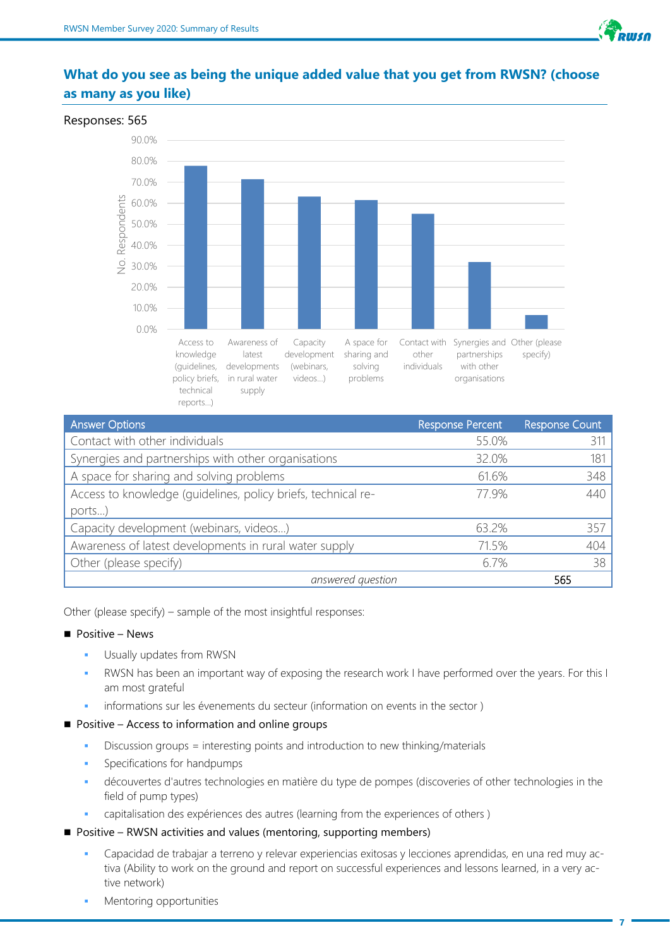

# **What do you see as being the unique added value that you get from RWSN? (choose as many as you like)**



| <b>Answer Options</b>                                         | <b>Response Percent</b> | <b>Response Count</b> |
|---------------------------------------------------------------|-------------------------|-----------------------|
| Contact with other individuals                                | 55.0%                   | 311                   |
| Synergies and partnerships with other organisations           | 32.0%                   | 181                   |
| A space for sharing and solving problems                      | 61.6%                   | 348                   |
| Access to knowledge (guidelines, policy briefs, technical re- | 77.9%                   | 440                   |
| ports)                                                        |                         |                       |
| Capacity development (webinars, videos)                       | 63.2%                   | 357                   |
| Awareness of latest developments in rural water supply        | 71.5%                   | 404                   |
| Other (please specify)                                        | 6.7%                    | 38                    |
| answered question                                             |                         | 565                   |

Other (please specify) – sample of the most insightful responses:

#### $\blacksquare$  Positive – News

- **•** Usually updates from RWSN
- RWSN has been an important way of exposing the research work I have performed over the years. For this I am most grateful
- informations sur les évenements du secteur (information on events in the sector )
- Positive Access to information and online groups
	- Discussion groups = interesting points and introduction to new thinking/materials
	- Specifications for handpumps
	- découvertes d'autres technologies en matière du type de pompes (discoveries of other technologies in the field of pump types)
	- capitalisation des expériences des autres (learning from the experiences of others)
- Positive RWSN activities and values (mentoring, supporting members)
	- Capacidad de trabajar a terreno y relevar experiencias exitosas y lecciones aprendidas, en una red muy activa (Ability to work on the ground and report on successful experiences and lessons learned, in a very active network)
	- Mentoring opportunities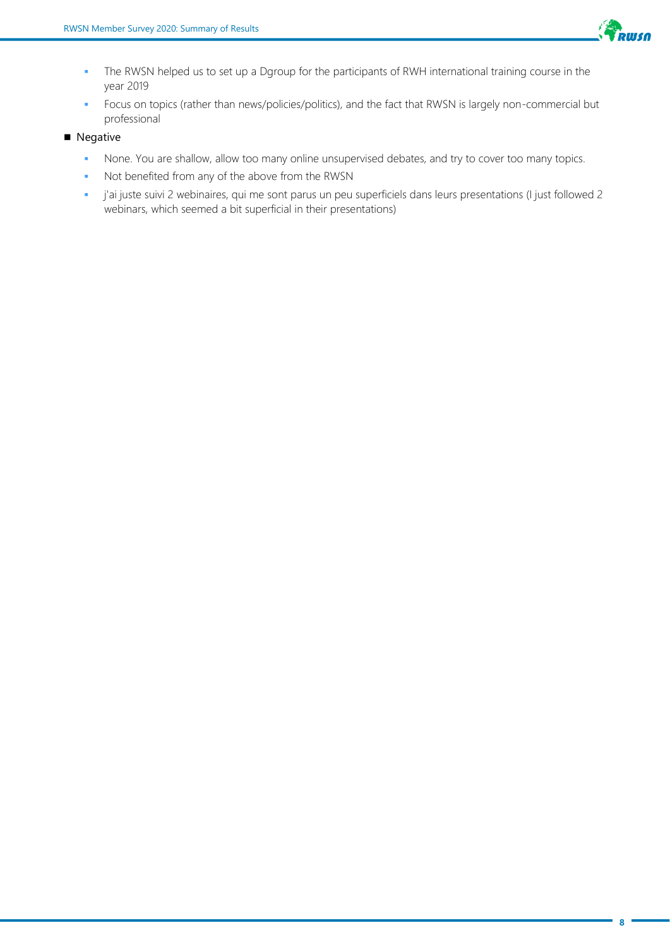

- **The RWSN helped us to set up a Dgroup for the participants of RWH international training course in the** year 2019
- Focus on topics (rather than news/policies/politics), and the fact that RWSN is largely non-commercial but professional
- Negative
	- **None. You are shallow, allow too many online unsupervised debates, and try to cover too many topics.**
	- Not benefited from any of the above from the RWSN
	- j'ai juste suivi 2 webinaires, qui me sont parus un peu superficiels dans leurs presentations (I just followed 2 webinars, which seemed a bit superficial in their presentations)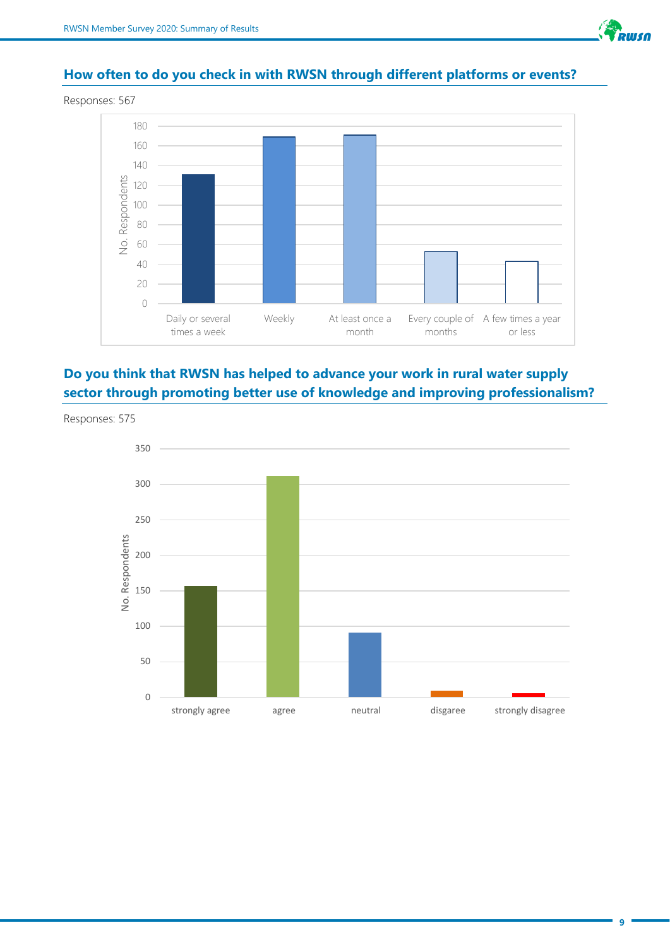

# **How often to do you check in with RWSN through different platforms or events?**





# **Do you think that RWSN has helped to advance your work in rural water supply sector through promoting better use of knowledge and improving professionalism?**



Responses: 575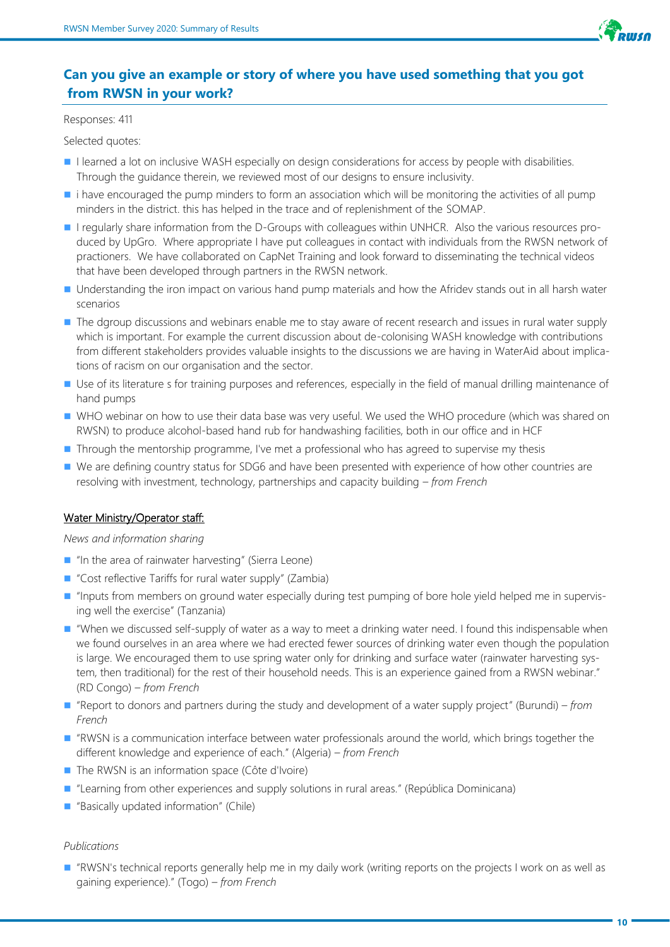

# **Can you give an example or story of where you have used something that you got from RWSN in your work?**

#### Responses: 411

Selected quotes:

- I learned a lot on inclusive WASH especially on design considerations for access by people with disabilities. Through the guidance therein, we reviewed most of our designs to ensure inclusivity.
- i have encouraged the pump minders to form an association which will be monitoring the activities of all pump minders in the district. this has helped in the trace and of replenishment of the SOMAP.
- I regularly share information from the D-Groups with colleagues within UNHCR. Also the various resources produced by UpGro. Where appropriate I have put colleagues in contact with individuals from the RWSN network of practioners. We have collaborated on CapNet Training and look forward to disseminating the technical videos that have been developed through partners in the RWSN network.
- Understanding the iron impact on various hand pump materials and how the Afridev stands out in all harsh water scenarios
- The dgroup discussions and webinars enable me to stay aware of recent research and issues in rural water supply which is important. For example the current discussion about de-colonising WASH knowledge with contributions from different stakeholders provides valuable insights to the discussions we are having in WaterAid about implications of racism on our organisation and the sector.
- Use of its literature s for training purposes and references, especially in the field of manual drilling maintenance of hand pumps
- WHO webinar on how to use their data base was very useful. We used the WHO procedure (which was shared on RWSN) to produce alcohol-based hand rub for handwashing facilities, both in our office and in HCF
- Through the mentorship programme, I've met a professional who has agreed to supervise my thesis
- We are defining country status for SDG6 and have been presented with experience of how other countries are resolving with investment, technology, partnerships and capacity building *– from French*

#### Water Ministry/Operator staff:

#### *News and information sharing*

- "In the area of rainwater harvesting" (Sierra Leone)
- "Cost reflective Tariffs for rural water supply" (Zambia)
- "Inputs from members on ground water especially during test pumping of bore hole yield helped me in supervising well the exercise" (Tanzania)
- "When we discussed self-supply of water as a way to meet a drinking water need. I found this indispensable when we found ourselves in an area where we had erected fewer sources of drinking water even though the population is large. We encouraged them to use spring water only for drinking and surface water (rainwater harvesting system, then traditional) for the rest of their household needs. This is an experience gained from a RWSN webinar." (RD Congo) *– from French*
- "Report to donors and partners during the study and development of a water supply project" (Burundi) *from French*
- "RWSN is a communication interface between water professionals around the world, which brings together the different knowledge and experience of each." (Algeria) *– from French*
- The RWSN is an information space (Côte d'Ivoire)
- "Learning from other experiences and supply solutions in rural areas." (República Dominicana)
- "Basically updated information" (Chile)

#### *Publications*

■ "RWSN's technical reports generally help me in my daily work (writing reports on the projects I work on as well as gaining experience)." (Togo) *– from French*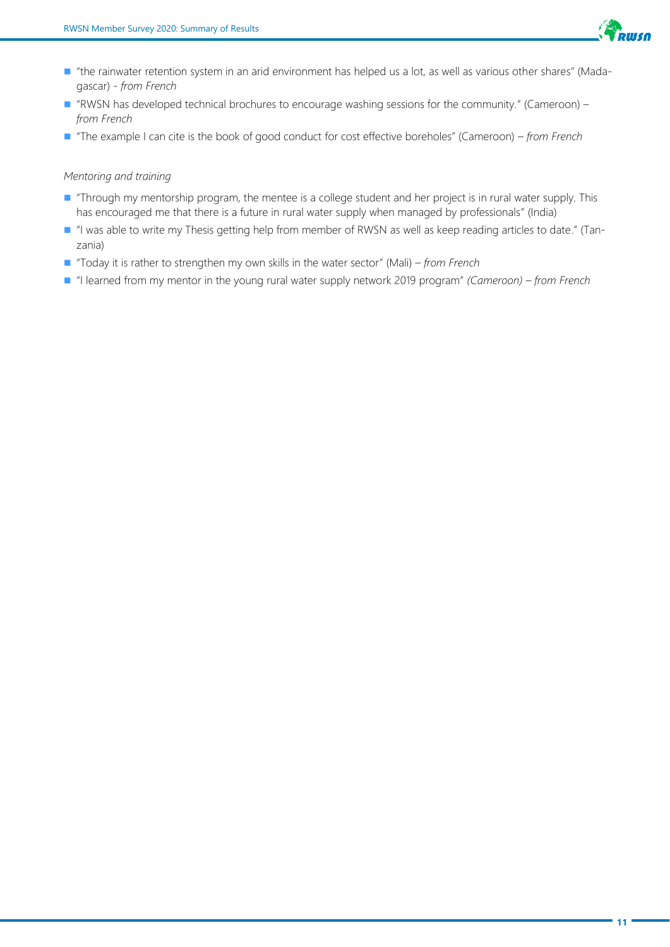

- "the rainwater retention system in an arid environment has helped us a lot, as well as various other shares" (Madagascar) *- from French*
- "RWSN has developed technical brochures to encourage washing sessions for the community." (Cameroon) *from French*
- "The example I can cite is the book of good conduct for cost effective boreholes" (Cameroon) *from French*

#### *Mentoring and training*

- "Through my mentorship program, the mentee is a college student and her project is in rural water supply. This has encouraged me that there is a future in rural water supply when managed by professionals" (India)
- "I was able to write my Thesis getting help from member of RWSN as well as keep reading articles to date." (Tanzania)
- "Today it is rather to strengthen my own skills in the water sector" (Mali)  *from French*
- "I learned from my mentor in the young rural water supply network 2019 program" *(Cameroon) from French*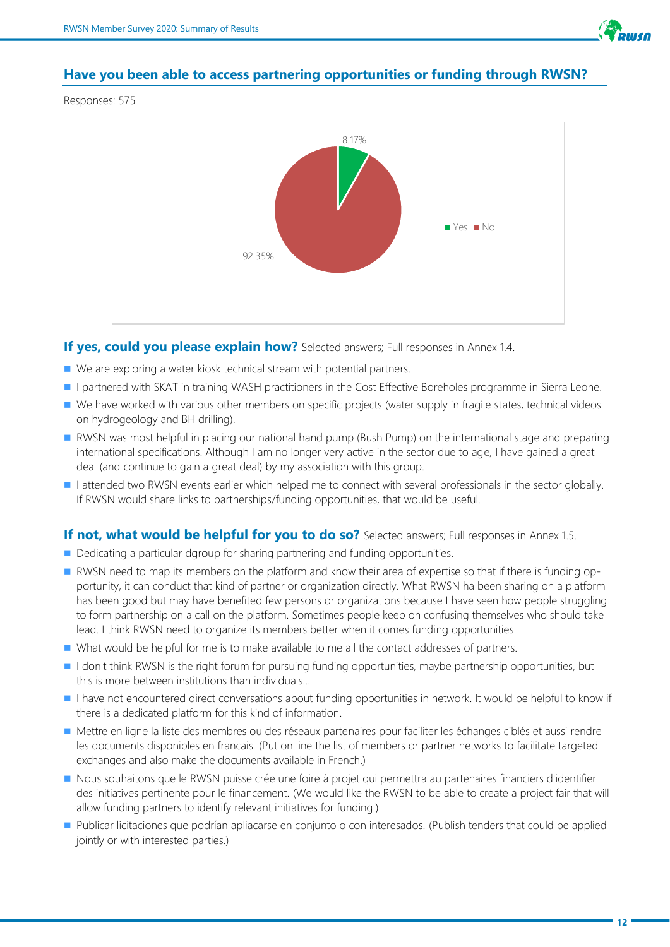

#### **Have you been able to access partnering opportunities or funding through RWSN?**

Responses: 575



#### **If yes, could you please explain how?** Selected answers; Full responses in Annex 1.4.

- We are exploring a water kiosk technical stream with potential partners.
- I partnered with SKAT in training WASH practitioners in the Cost Effective Boreholes programme in Sierra Leone.
- We have worked with various other members on specific projects (water supply in fragile states, technical videos on hydrogeology and BH drilling).
- RWSN was most helpful in placing our national hand pump (Bush Pump) on the international stage and preparing international specifications. Although I am no longer very active in the sector due to age, I have gained a great deal (and continue to gain a great deal) by my association with this group.
- I attended two RWSN events earlier which helped me to connect with several professionals in the sector globally. If RWSN would share links to partnerships/funding opportunities, that would be useful.

#### **If not, what would be helpful for you to do so?** Selected answers; Full responses in Annex 1.5.

- Dedicating a particular dgroup for sharing partnering and funding opportunities.
- RWSN need to map its members on the platform and know their area of expertise so that if there is funding opportunity, it can conduct that kind of partner or organization directly. What RWSN ha been sharing on a platform has been good but may have benefited few persons or organizations because I have seen how people struggling to form partnership on a call on the platform. Sometimes people keep on confusing themselves who should take lead. I think RWSN need to organize its members better when it comes funding opportunities.
- What would be helpful for me is to make available to me all the contact addresses of partners.
- I don't think RWSN is the right forum for pursuing funding opportunities, maybe partnership opportunities, but this is more between institutions than individuals...
- I have not encountered direct conversations about funding opportunities in network. It would be helpful to know if there is a dedicated platform for this kind of information.
- Mettre en ligne la liste des membres ou des réseaux partenaires pour faciliter les échanges ciblés et aussi rendre les documents disponibles en francais. (Put on line the list of members or partner networks to facilitate targeted exchanges and also make the documents available in French.)
- Nous souhaitons que le RWSN puisse crée une foire à projet qui permettra au partenaires financiers d'identifier des initiatives pertinente pour le financement. (We would like the RWSN to be able to create a project fair that will allow funding partners to identify relevant initiatives for funding.)
- Publicar licitaciones que podrían apliacarse en conjunto o con interesados. (Publish tenders that could be applied jointly or with interested parties.)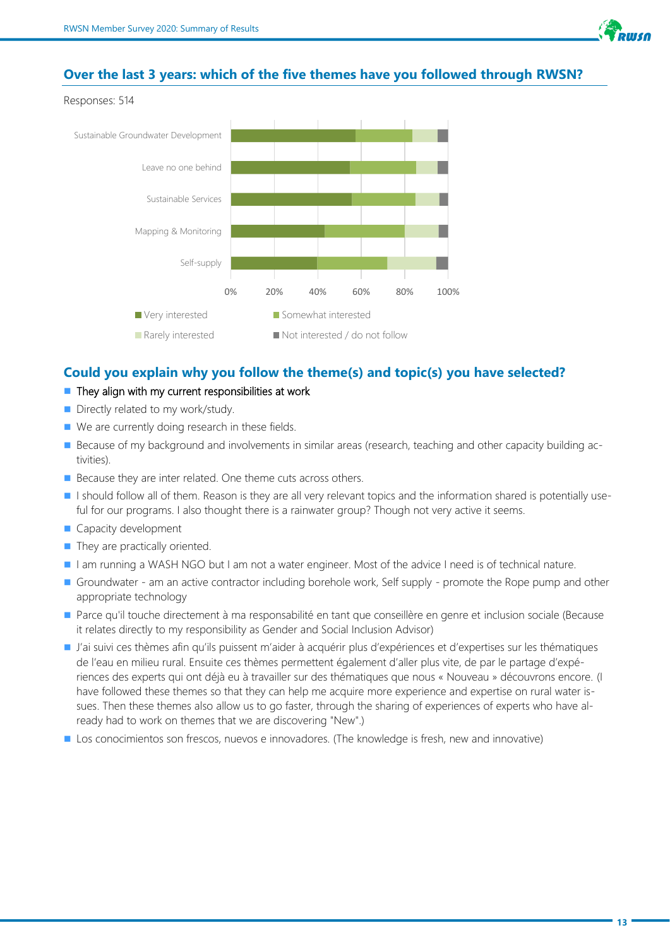

#### **Over the last 3 years: which of the five themes have you followed through RWSN?**





#### **Could you explain why you follow the theme(s) and topic(s) you have selected?**

#### $\blacksquare$  They align with my current responsibilities at work

- Directly related to my work/study.
- We are currently doing research in these fields.
- Because of my background and involvements in similar areas (research, teaching and other capacity building activities).
- Because they are inter related. One theme cuts across others.
- I should follow all of them. Reason is they are all very relevant topics and the information shared is potentially useful for our programs. I also thought there is a rainwater group? Though not very active it seems.
- Capacity development
- They are practically oriented.
- I am running a WASH NGO but I am not a water engineer. Most of the advice I need is of technical nature.
- Groundwater am an active contractor including borehole work, Self supply promote the Rope pump and other appropriate technology
- Parce qu'il touche directement à ma responsabilité en tant que conseillère en genre et inclusion sociale (Because it relates directly to my responsibility as Gender and Social Inclusion Advisor)
- J'ai suivi ces thèmes afin qu'ils puissent m'aider à acquérir plus d'expériences et d'expertises sur les thématiques de l'eau en milieu rural. Ensuite ces thèmes permettent également d'aller plus vite, de par le partage d'expériences des experts qui ont déjà eu à travailler sur des thématiques que nous « Nouveau » découvrons encore. (I have followed these themes so that they can help me acquire more experience and expertise on rural water issues. Then these themes also allow us to go faster, through the sharing of experiences of experts who have already had to work on themes that we are discovering "New".)
- Los conocimientos son frescos, nuevos e innovadores. (The knowledge is fresh, new and innovative)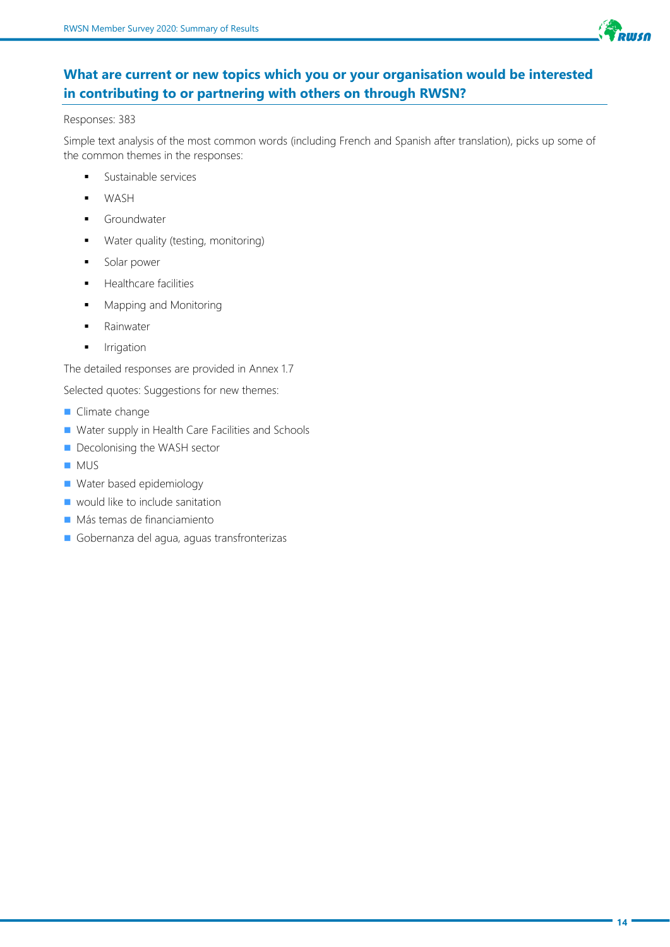

# **What are current or new topics which you or your organisation would be interested in contributing to or partnering with others on through RWSN?**

#### Responses: 383

Simple text analysis of the most common words (including French and Spanish after translation), picks up some of the common themes in the responses:

- **■** Sustainable services
- WASH
- Groundwater
- Water quality (testing, monitoring)
- Solar power
- **■** Healthcare facilities
- Mapping and Monitoring
- Rainwater
- **■** Irrigation

The detailed responses are provided in Annex 1.7

Selected quotes: Suggestions for new themes:

- Climate change
- Water supply in Health Care Facilities and Schools
- Decolonising the WASH sector
- MUS
- Water based epidemiology
- $\blacksquare$  would like to include sanitation
- Más temas de financiamiento
- Gobernanza del agua, aguas transfronterizas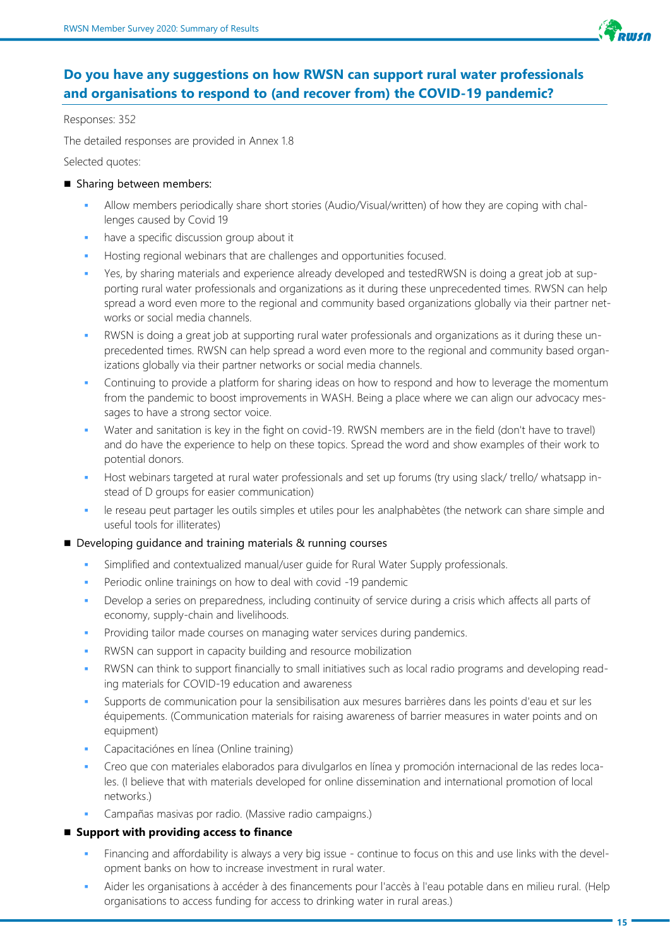

# **Do you have any suggestions on how RWSN can support rural water professionals and organisations to respond to (and recover from) the COVID-19 pandemic?**

Responses: 352

The detailed responses are provided in Annex 1.8

Selected quotes:

- Sharing between members:
	- Allow members periodically share short stories (Audio/Visual/written) of how they are coping with challenges caused by Covid 19
	- have a specific discussion group about it
	- Hosting regional webinars that are challenges and opportunities focused.
	- Yes, by sharing materials and experience already developed and testedRWSN is doing a great job at supporting rural water professionals and organizations as it during these unprecedented times. RWSN can help spread a word even more to the regional and community based organizations globally via their partner networks or social media channels.
	- RWSN is doing a great job at supporting rural water professionals and organizations as it during these unprecedented times. RWSN can help spread a word even more to the regional and community based organizations globally via their partner networks or social media channels.
	- Continuing to provide a platform for sharing ideas on how to respond and how to leverage the momentum from the pandemic to boost improvements in WASH. Being a place where we can align our advocacy messages to have a strong sector voice.
	- Water and sanitation is key in the fight on covid-19. RWSN members are in the field (don't have to travel) and do have the experience to help on these topics. Spread the word and show examples of their work to potential donors.
	- Host webinars targeted at rural water professionals and set up forums (try using slack/ trello/ whatsapp instead of D groups for easier communication)
	- le reseau peut partager les outils simples et utiles pour les analphabètes (the network can share simple and useful tools for illiterates)

#### ■ Developing guidance and training materials & running courses

- Simplified and contextualized manual/user quide for Rural Water Supply professionals.
- Periodic online trainings on how to deal with covid -19 pandemic
- Develop a series on preparedness, including continuity of service during a crisis which affects all parts of economy, supply-chain and livelihoods.
- Providing tailor made courses on managing water services during pandemics.
- RWSN can support in capacity building and resource mobilization
- RWSN can think to support financially to small initiatives such as local radio programs and developing reading materials for COVID-19 education and awareness
- Supports de communication pour la sensibilisation aux mesures barrières dans les points d'eau et sur les équipements. (Communication materials for raising awareness of barrier measures in water points and on equipment)
- Capacitaciónes en línea (Online training)
- Creo que con materiales elaborados para divulgarlos en línea y promoción internacional de las redes locales. (I believe that with materials developed for online dissemination and international promotion of local networks.)
- Campañas masivas por radio. (Massive radio campaigns.)

#### ■ Support with providing access to finance

- Financing and affordability is always a very big issue continue to focus on this and use links with the development banks on how to increase investment in rural water.
- Aider les organisations à accéder à des financements pour l'accès à l'eau potable dans en milieu rural. (Help organisations to access funding for access to drinking water in rural areas.)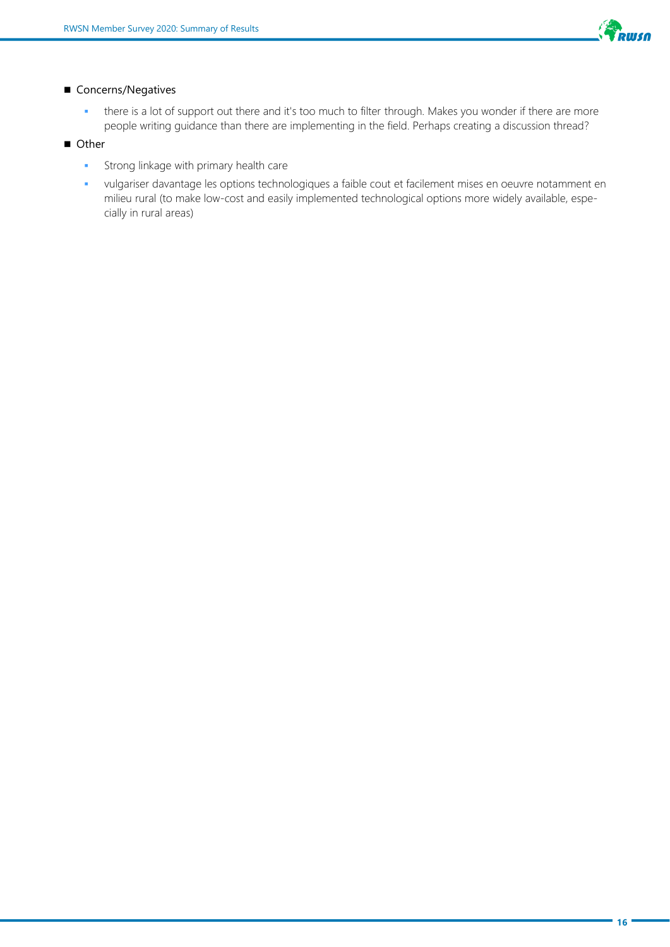

#### ■ Concerns/Negatives

- there is a lot of support out there and it's too much to filter through. Makes you wonder if there are more people writing guidance than there are implementing in the field. Perhaps creating a discussion thread?
- Other
	- **•** Strong linkage with primary health care
	- vulgariser davantage les options technologiques a faible cout et facilement mises en oeuvre notamment en milieu rural (to make low-cost and easily implemented technological options more widely available, especially in rural areas)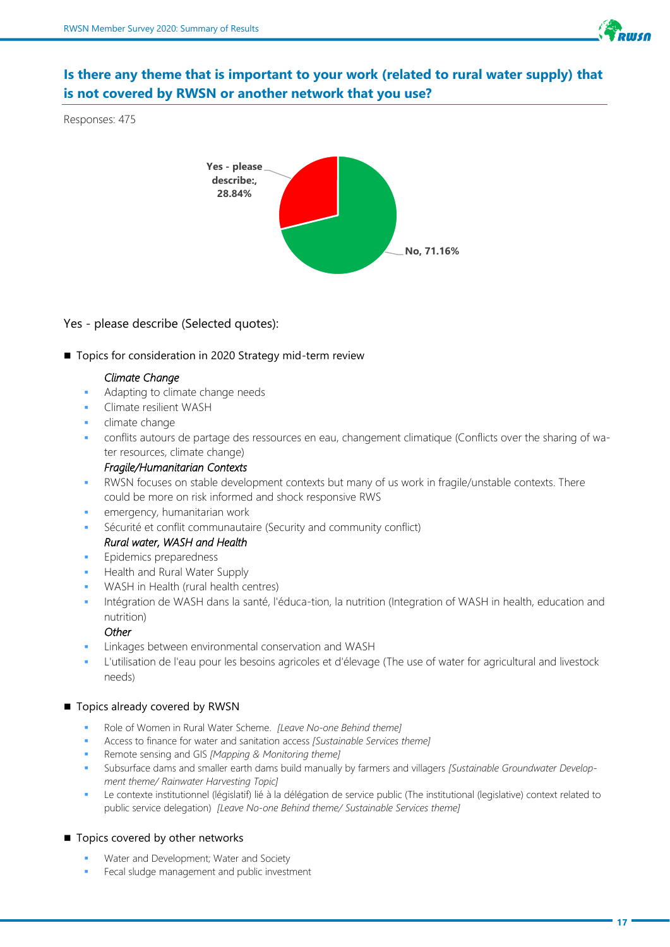

# **Is there any theme that is important to your work (related to rural water supply) that is not covered by RWSN or another network that you use?**

Responses: 475



#### Yes - please describe (Selected quotes):

■ Topics for consideration in 2020 Strategy mid-term review

#### *Climate Change*

- Adapting to climate change needs
- Climate resilient WASH
- climate change
- conflits autours de partage des ressources en eau, changement climatique (Conflicts over the sharing of water resources, climate change)

#### *Fragile/Humanitarian Contexts*

- RWSN focuses on stable development contexts but many of us work in fragile/unstable contexts. There could be more on risk informed and shock responsive RWS
- emergency, humanitarian work
- Sécurité et conflit communautaire (Security and community conflict) *Rural water, WASH and Health*
- Epidemics preparedness
- Health and Rural Water Supply
- WASH in Health (rural health centres)
- Intégration de WASH dans la santé, l'éduca-tion, la nutrition (Integration of WASH in health, education and nutrition)

#### *Other*

- Linkages between environmental conservation and WASH
- L'utilisation de l'eau pour les besoins agricoles et d'élevage (The use of water for agricultural and livestock needs)

#### ■ Topics already covered by RWSN

- Role of Women in Rural Water Scheme. *[Leave No-one Behind theme]*
- Access to finance for water and sanitation access *[Sustainable Services theme]*
- Remote sensing and GIS *[Mapping & Monitoring theme]*
- Subsurface dams and smaller earth dams build manually by farmers and villagers *[Sustainable Groundwater Development theme/ Rainwater Harvesting Topic]*
- Le contexte institutionnel (législatif) lié à la délégation de service public (The institutional (legislative) context related to public service delegation) *[Leave No-one Behind theme/ Sustainable Services theme]*

#### ■ Topics covered by other networks

- Water and Development; Water and Society
- Fecal sludge management and public investment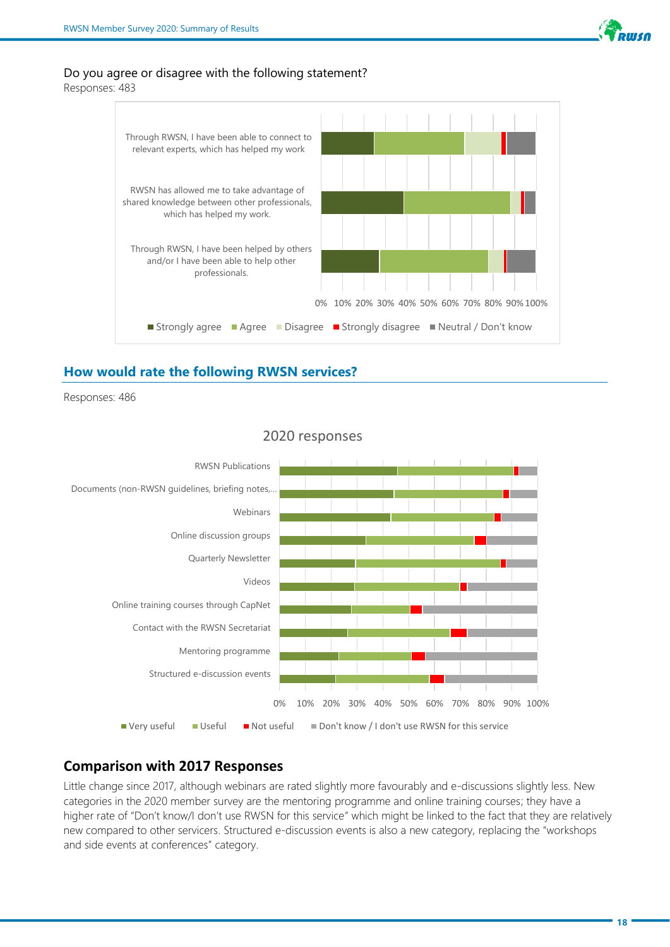

#### Do you agree or disagree with the following statement?

Responses: 483



#### **How would rate the following RWSN services?**

Responses: 486



# 2020 responses

#### **Comparison with 2017 Responses**

Little change since 2017, although webinars are rated slightly more favourably and e-discussions slightly less. New categories in the 2020 member survey are the mentoring programme and online training courses; they have a higher rate of "Don't know/I don't use RWSN for this service" which might be linked to the fact that they are relatively new compared to other servicers. Structured e-discussion events is also a new category, replacing the "workshops and side events at conferences" category.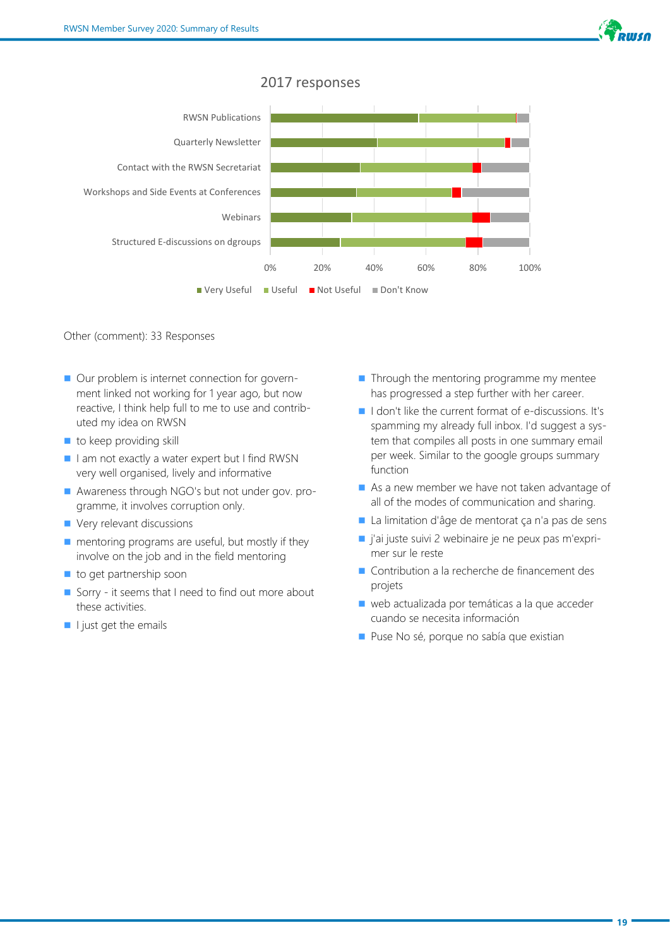

## 2017 responses



#### Other (comment): 33 Responses

- Our problem is internet connection for government linked not working for 1 year ago, but now reactive, I think help full to me to use and contributed my idea on RWSN
- $\blacksquare$  to keep providing skill
- I am not exactly a water expert but I find RWSN very well organised, lively and informative
- Awareness through NGO's but not under gov. programme, it involves corruption only.
- Very relevant discussions
- mentoring programs are useful, but mostly if they involve on the job and in the field mentoring
- to get partnership soon
- Sorry it seems that I need to find out more about these activities.
- I just get the emails
- Through the mentoring programme my mentee has progressed a step further with her career.
- I don't like the current format of e-discussions. It's spamming my already full inbox. I'd suggest a system that compiles all posts in one summary email per week. Similar to the google groups summary function
- As a new member we have not taken advantage of all of the modes of communication and sharing.
- La limitation d'âge de mentorat ça n'a pas de sens
- j'ai juste suivi 2 webinaire je ne peux pas m'exprimer sur le reste
- Contribution a la recherche de financement des projets
- web actualizada por temáticas a la que acceder cuando se necesita información
- Puse No sé, porque no sabía que existian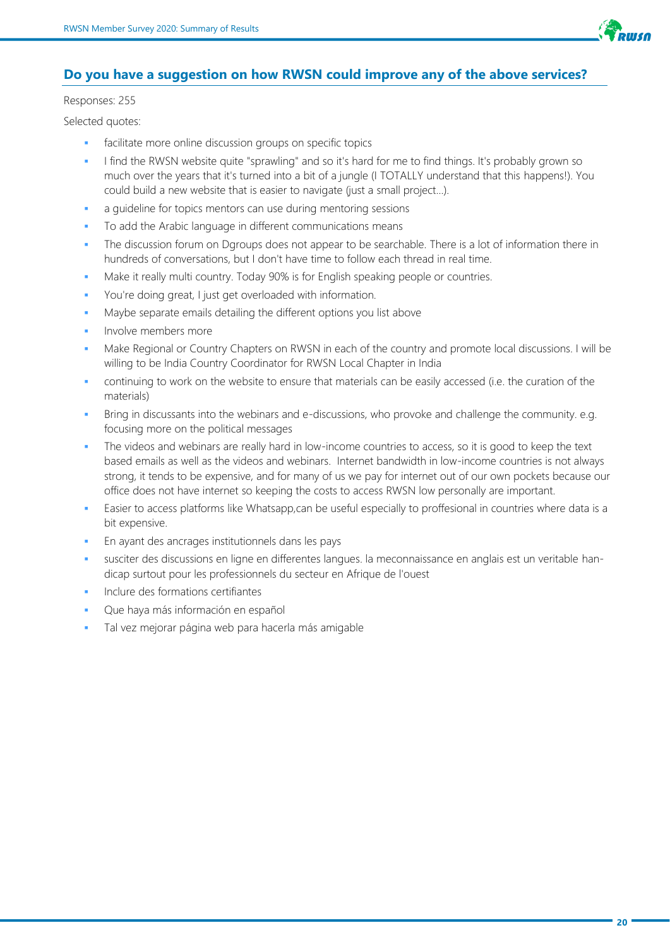

## **Do you have a suggestion on how RWSN could improve any of the above services?**

#### Responses: 255

Selected quotes:

- facilitate more online discussion groups on specific topics
- I find the RWSN website quite "sprawling" and so it's hard for me to find things. It's probably grown so much over the years that it's turned into a bit of a jungle (I TOTALLY understand that this happens!). You could build a new website that is easier to navigate (just a small project...).
- a guideline for topics mentors can use during mentoring sessions
- To add the Arabic language in different communications means
- The discussion forum on Dgroups does not appear to be searchable. There is a lot of information there in hundreds of conversations, but I don't have time to follow each thread in real time.
- Make it really multi country. Today 90% is for English speaking people or countries.
- You're doing great, I just get overloaded with information.
- Maybe separate emails detailing the different options you list above
- Involve members more
- Make Regional or Country Chapters on RWSN in each of the country and promote local discussions. I will be willing to be India Country Coordinator for RWSN Local Chapter in India
- continuing to work on the website to ensure that materials can be easily accessed (i.e. the curation of the materials)
- Bring in discussants into the webinars and e-discussions, who provoke and challenge the community. e.g. focusing more on the political messages
- The videos and webinars are really hard in low-income countries to access, so it is good to keep the text based emails as well as the videos and webinars. Internet bandwidth in low-income countries is not always strong, it tends to be expensive, and for many of us we pay for internet out of our own pockets because our office does not have internet so keeping the costs to access RWSN low personally are important.
- Easier to access platforms like Whatsapp,can be useful especially to proffesional in countries where data is a bit expensive.
- En ayant des ancrages institutionnels dans les pays
- susciter des discussions en ligne en differentes langues. la meconnaissance en anglais est un veritable handicap surtout pour les professionnels du secteur en Afrique de l'ouest
- Inclure des formations certifiantes
- Que haya más información en español
- Tal vez mejorar página web para hacerla más amigable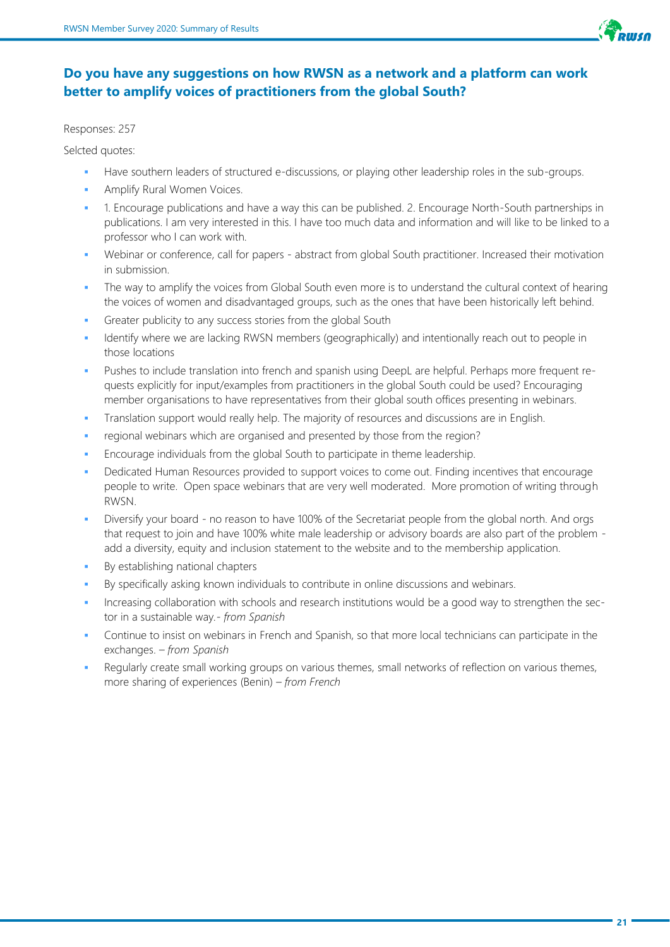

# **Do you have any suggestions on how RWSN as a network and a platform can work better to amplify voices of practitioners from the global South?**

Responses: 257

Selcted quotes:

- Have southern leaders of structured e-discussions, or playing other leadership roles in the sub-groups.
- Amplify Rural Women Voices.
- 1. Encourage publications and have a way this can be published. 2. Encourage North-South partnerships in publications. I am very interested in this. I have too much data and information and will like to be linked to a professor who I can work with.
- Webinar or conference, call for papers abstract from global South practitioner. Increased their motivation in submission.
- The way to amplify the voices from Global South even more is to understand the cultural context of hearing the voices of women and disadvantaged groups, such as the ones that have been historically left behind.
- Greater publicity to any success stories from the global South
- Identify where we are lacking RWSN members (geographically) and intentionally reach out to people in those locations
- Pushes to include translation into french and spanish using DeepL are helpful. Perhaps more frequent requests explicitly for input/examples from practitioners in the global South could be used? Encouraging member organisations to have representatives from their global south offices presenting in webinars.
- Translation support would really help. The majority of resources and discussions are in English.
- regional webinars which are organised and presented by those from the region?
- Encourage individuals from the global South to participate in theme leadership.
- Dedicated Human Resources provided to support voices to come out. Finding incentives that encourage people to write. Open space webinars that are very well moderated. More promotion of writing through RWSN.
- Diversify your board no reason to have 100% of the Secretariat people from the global north. And orgs that request to join and have 100% white male leadership or advisory boards are also part of the problem add a diversity, equity and inclusion statement to the website and to the membership application.
- By establishing national chapters
- By specifically asking known individuals to contribute in online discussions and webinars.
- Increasing collaboration with schools and research institutions would be a good way to strengthen the sector in a sustainable way*.- from Spanish*
- Continue to insist on webinars in French and Spanish, so that more local technicians can participate in the exchanges. *– from Spanish*
- Regularly create small working groups on various themes, small networks of reflection on various themes, more sharing of experiences (Benin) *– from French*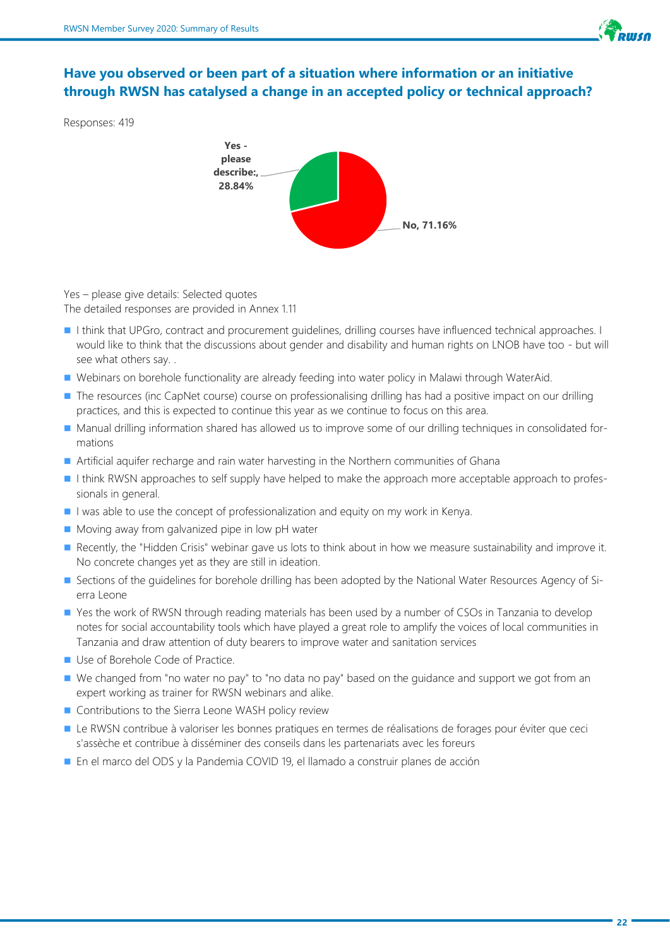

# **Have you observed or been part of a situation where information or an initiative through RWSN has catalysed a change in an accepted policy or technical approach?**

Responses: 419



Yes – please give details: Selected quotes The detailed responses are provided in Annex 1.11

- I think that UPGro, contract and procurement guidelines, drilling courses have influenced technical approaches. I would like to think that the discussions about gender and disability and human rights on LNOB have too - but will see what others say. .
- Webinars on borehole functionality are already feeding into water policy in Malawi through WaterAid.
- The resources (inc CapNet course) course on professionalising drilling has had a positive impact on our drilling practices, and this is expected to continue this year as we continue to focus on this area.
- Manual drilling information shared has allowed us to improve some of our drilling techniques in consolidated formations
- Artificial aquifer recharge and rain water harvesting in the Northern communities of Ghana
- I think RWSN approaches to self supply have helped to make the approach more acceptable approach to professionals in general.
- I was able to use the concept of professionalization and equity on my work in Kenya.
- Moving away from galvanized pipe in low pH water
- Recently, the "Hidden Crisis" webinar gave us lots to think about in how we measure sustainability and improve it. No concrete changes yet as they are still in ideation.
- Sections of the guidelines for borehole drilling has been adopted by the National Water Resources Agency of Sierra Leone
- Yes the work of RWSN through reading materials has been used by a number of CSOs in Tanzania to develop notes for social accountability tools which have played a great role to amplify the voices of local communities in Tanzania and draw attention of duty bearers to improve water and sanitation services
- Use of Borehole Code of Practice.
- We changed from "no water no pay" to "no data no pay" based on the guidance and support we got from an expert working as trainer for RWSN webinars and alike.
- Contributions to the Sierra Leone WASH policy review
- Le RWSN contribue à valoriser les bonnes pratiques en termes de réalisations de forages pour éviter que ceci s'assèche et contribue à disséminer des conseils dans les partenariats avec les foreurs
- En el marco del ODS y la Pandemia COVID 19, el llamado a construir planes de acción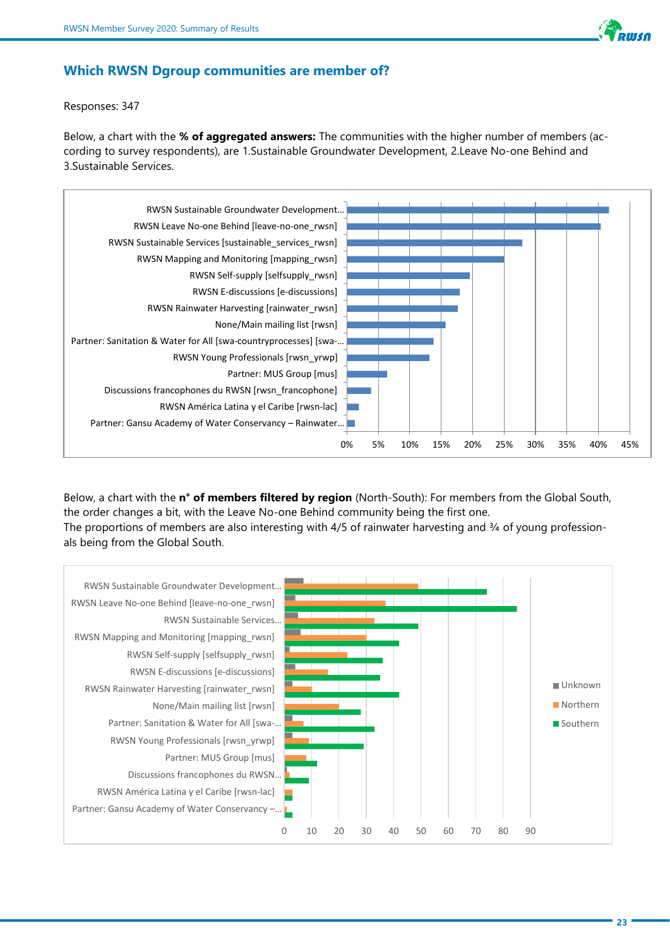

#### **Which RWSN Dgroup communities are member of?**

Responses: 347

Below, a chart with the **% of aggregated answers:** The communities with the higher number of members (according to survey respondents), are 1.Sustainable Groundwater Development, 2.Leave No-one Behind and 3.Sustainable Services.



Below, a chart with the **n° of members filtered by region** (North-South): For members from the Global South, the order changes a bit, with the Leave No-one Behind community being the first one. The proportions of members are also interesting with 4/5 of rainwater harvesting and 3/4 of young professionals being from the Global South.

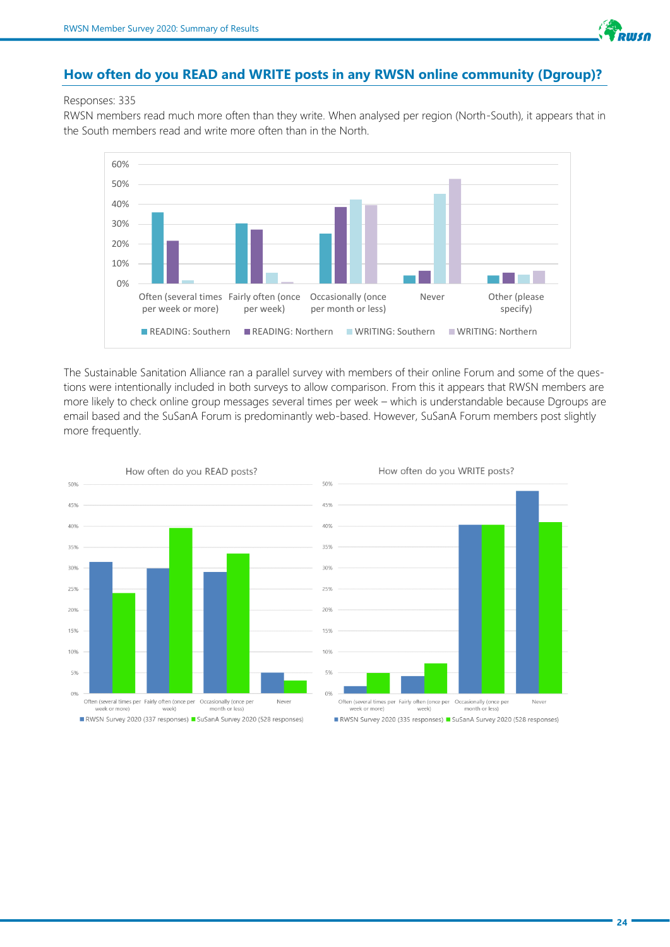

#### **How often do you READ and WRITE posts in any RWSN online community (Dgroup)?**

#### Responses: 335

RWSN members read much more often than they write. When analysed per region (North-South), it appears that in the South members read and write more often than in the North.



The Sustainable Sanitation Alliance ran a parallel survey with members of their online Forum and some of the questions were intentionally included in both surveys to allow comparison. From this it appears that RWSN members are more likely to check online group messages several times per week – which is understandable because Dgroups are email based and the SuSanA Forum is predominantly web-based. However, SuSanA Forum members post slightly more frequently.



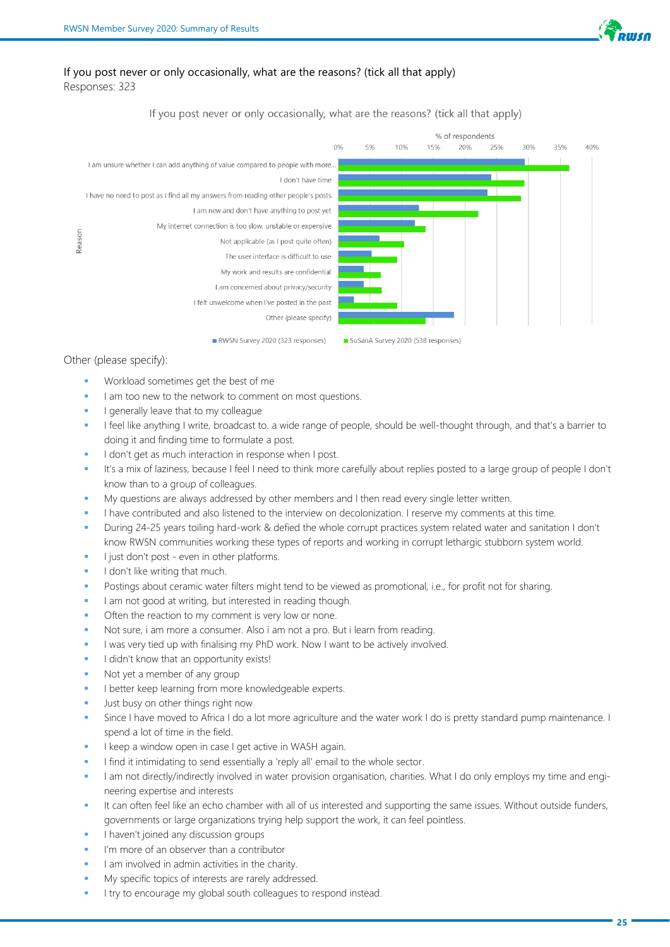

#### If you post never or only occasionally, what are the reasons? (tick all that apply) Responses: 323

#### If you post never or only occasionally, what are the reasons? (tick all that apply)



#### Other (please specify):

- Workload sometimes get the best of me
- I am too new to the network to comment on most questions.
- I generally leave that to my colleague
- I feel like anything I write, broadcast to. a wide range of people, should be well-thought through, and that's a barrier to doing it and finding time to formulate a post.
- I don't get as much interaction in response when I post.
- It's a mix of laziness, because I feel I need to think more carefully about replies posted to a large group of people I don't know than to a group of colleagues.
- My questions are always addressed by other members and I then read every single letter written.
- I have contributed and also listened to the interview on decolonization. I reserve my comments at this time.
- During 24-25 years toiling hard-work & defied the whole corrupt practices system related water and sanitation I don't know RWSN communities working these types of reports and working in corrupt lethargic stubborn system world.
- I just don't post even in other platforms.
- I don't like writing that much.
- Postings about ceramic water filters might tend to be viewed as promotional, i.e., for profit not for sharing.
- I am not good at writing, but interested in reading though.
- Often the reaction to my comment is very low or none.
- Not sure, i am more a consumer. Also i am not a pro. But i learn from reading.
- I was very tied up with finalising my PhD work. Now I want to be actively involved.
- I didn't know that an opportunity exists!
- Not yet a member of any group
- I better keep learning from more knowledgeable experts.
- Just busy on other things right now
- Since I have moved to Africa I do a lot more agriculture and the water work I do is pretty standard pump maintenance. I spend a lot of time in the field.
- I keep a window open in case I get active in WASH again.
- I find it intimidating to send essentially a 'reply all' email to the whole sector.
- I am not directly/indirectly involved in water provision organisation, charities. What I do only employs my time and engineering expertise and interests
- It can often feel like an echo chamber with all of us interested and supporting the same issues. Without outside funders, governments or large organizations trying help support the work, it can feel pointless.
- I haven't joined any discussion groups
- I'm more of an observer than a contributor
- I am involved in admin activities in the charity.
- My specific topics of interests are rarely addressed.
- I try to encourage my global south colleagues to respond instead.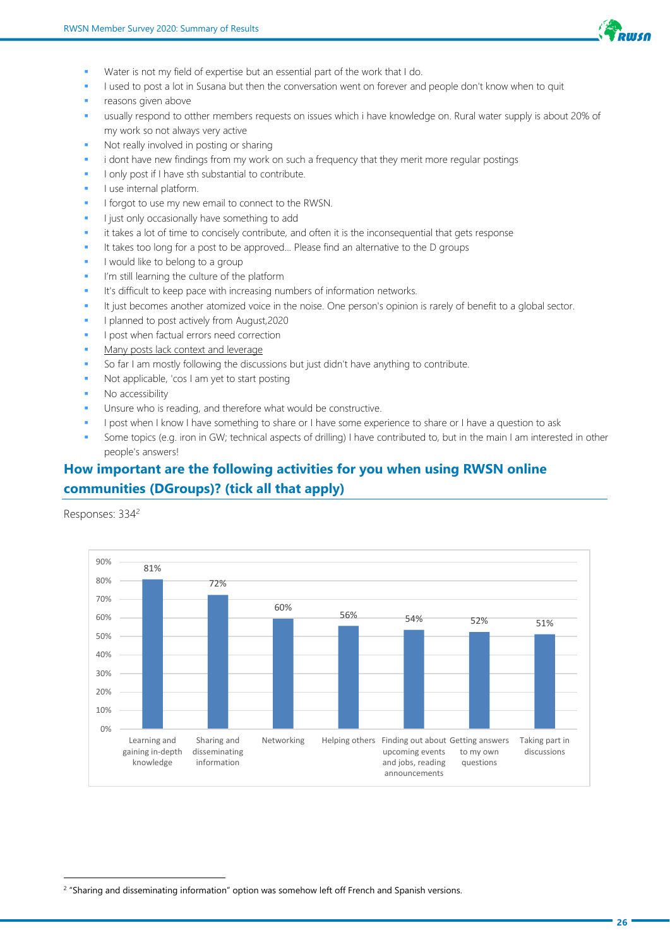

- Water is not my field of expertise but an essential part of the work that I do.
- I used to post a lot in Susana but then the conversation went on forever and people don't know when to quit
- reasons given above
- usually respond to otther members requests on issues which i have knowledge on. Rural water supply is about 20% of my work so not always very active
- Not really involved in posting or sharing
- i dont have new findings from my work on such a frequency that they merit more regular postings
- I only post if I have sth substantial to contribute.
- I use internal platform.
- I forgot to use my new email to connect to the RWSN.
- I just only occasionally have something to add
- it takes a lot of time to concisely contribute, and often it is the inconsequential that gets response
- It takes too long for a post to be approved... Please find an alternative to the D groups
- I would like to belong to a group
- I'm still learning the culture of the platform
- It's difficult to keep pace with increasing numbers of information networks.
- It just becomes another atomized voice in the noise. One person's opinion is rarely of benefit to a global sector.
- I planned to post actively from August,2020
- I post when factual errors need correction
- Many posts lack context and leverage
- So far I am mostly following the discussions but just didn't have anything to contribute.
- Not applicable, 'cos I am yet to start posting
- No accessibility
- Unsure who is reading, and therefore what would be constructive.
- I post when I know I have something to share or I have some experience to share or I have a question to ask
- Some topics (e.g. iron in GW; technical aspects of drilling) I have contributed to, but in the main I am interested in other people's answers!

# **How important are the following activities for you when using RWSN online communities (DGroups)? (tick all that apply)**

Responses: 334<sup>2</sup>



<sup>&</sup>lt;sup>2</sup> "Sharing and disseminating information" option was somehow left off French and Spanish versions.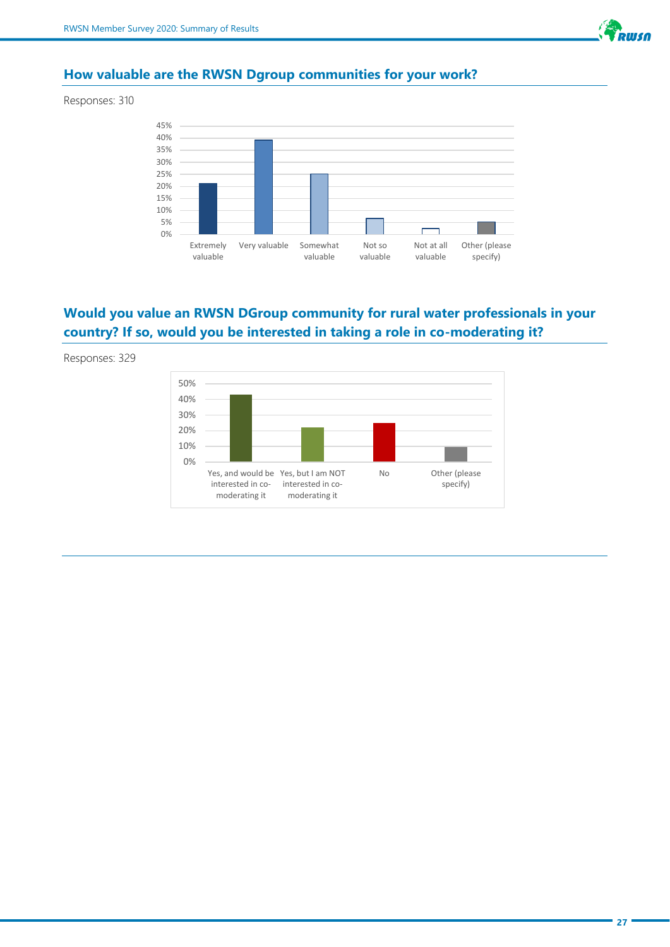

# **How valuable are the RWSN Dgroup communities for your work?**

Responses: 310



# **Would you value an RWSN DGroup community for rural water professionals in your country? If so, would you be interested in taking a role in co-moderating it?**

Responses: 329

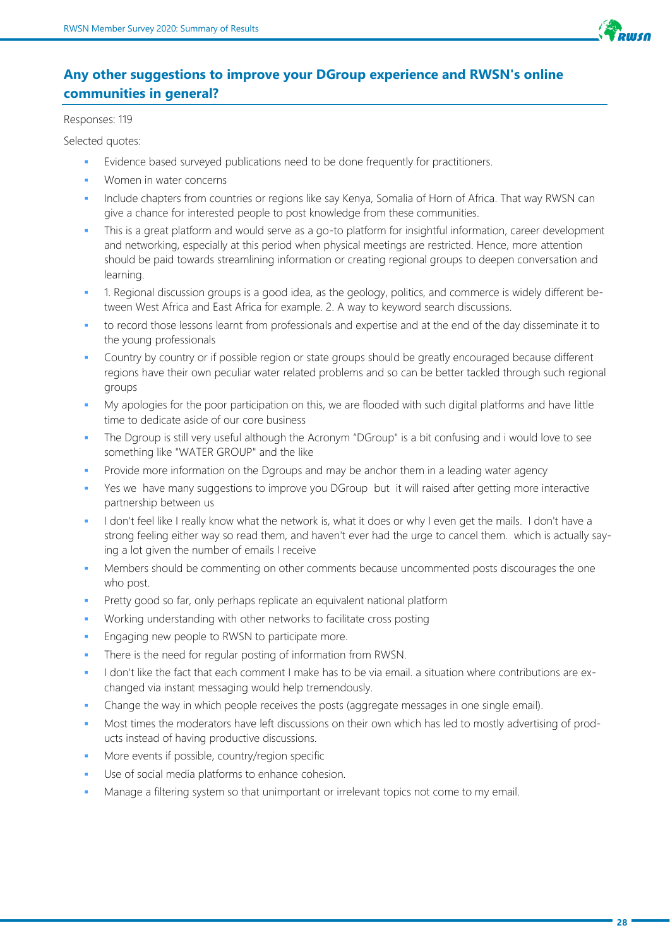

# **Any other suggestions to improve your DGroup experience and RWSN's online communities in general?**

Responses: 119

Selected quotes:

- Evidence based surveyed publications need to be done frequently for practitioners.
- Women in water concerns
- Include chapters from countries or regions like say Kenya, Somalia of Horn of Africa. That way RWSN can give a chance for interested people to post knowledge from these communities.
- This is a great platform and would serve as a go-to platform for insightful information, career development and networking, especially at this period when physical meetings are restricted. Hence, more attention should be paid towards streamlining information or creating regional groups to deepen conversation and learning.
- 1. Regional discussion groups is a good idea, as the geology, politics, and commerce is widely different between West Africa and East Africa for example. 2. A way to keyword search discussions.
- to record those lessons learnt from professionals and expertise and at the end of the day disseminate it to the young professionals
- Country by country or if possible region or state groups should be greatly encouraged because different regions have their own peculiar water related problems and so can be better tackled through such regional groups
- My apologies for the poor participation on this, we are flooded with such digital platforms and have little time to dedicate aside of our core business
- The Dgroup is still very useful although the Acronym "DGroup" is a bit confusing and i would love to see something like "WATER GROUP" and the like
- Provide more information on the Dgroups and may be anchor them in a leading water agency
- Yes we have many suggestions to improve you DGroup but it will raised after getting more interactive partnership between us
- I don't feel like I really know what the network is, what it does or why I even get the mails. I don't have a strong feeling either way so read them, and haven't ever had the urge to cancel them. which is actually saying a lot given the number of emails I receive
- Members should be commenting on other comments because uncommented posts discourages the one who post.
- Pretty good so far, only perhaps replicate an equivalent national platform
- Working understanding with other networks to facilitate cross posting
- Engaging new people to RWSN to participate more.
- There is the need for regular posting of information from RWSN.
- I don't like the fact that each comment I make has to be via email. a situation where contributions are exchanged via instant messaging would help tremendously.
- Change the way in which people receives the posts (aggregate messages in one single email).
- Most times the moderators have left discussions on their own which has led to mostly advertising of products instead of having productive discussions.
- More events if possible, country/region specific
- Use of social media platforms to enhance cohesion.
- Manage a filtering system so that unimportant or irrelevant topics not come to my email.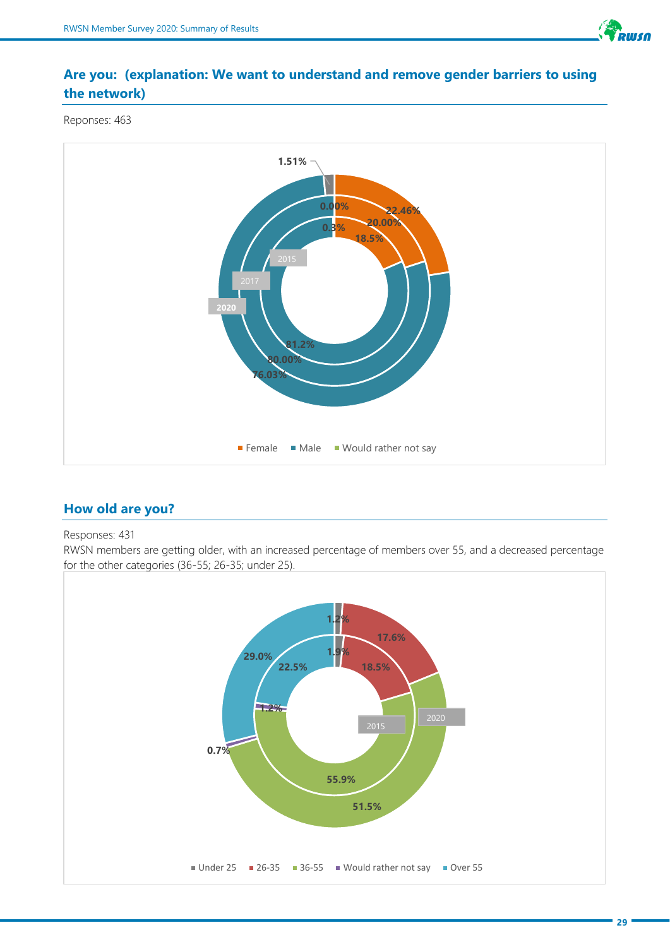

# **Are you: (explanation: We want to understand and remove gender barriers to using the network)**

Reponses: 463



# **How old are you?**

#### Responses: 431

RWSN members are getting older, with an increased percentage of members over 55, and a decreased percentage for the other categories (36-55; 26-35; under 25).

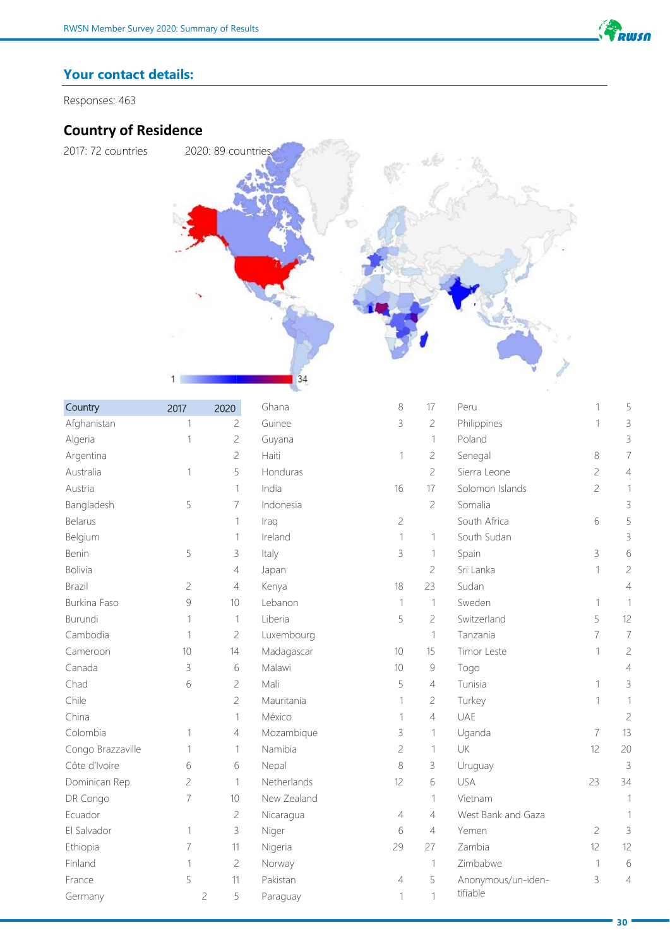

# **Your contact details:**

Responses: 463

# **Country of Residence**



| Country           | 2017           | 2020                | Ghana       | 8              | 17             | Peru               | 1              | 5              |
|-------------------|----------------|---------------------|-------------|----------------|----------------|--------------------|----------------|----------------|
| Afghanistan       | 1              | $\overline{c}$      | Guinee      | 3              | $\overline{c}$ | Philippines        | 1              | 3              |
| Algeria           | 1              | $\sqrt{2}$          | Guyana      |                | $\mathbf{1}$   | Poland             |                | 3              |
| Argentina         |                | $\overline{c}$      | Haiti       | 1              | $\mathbf{C}$   | Senegal            | 8              | $\overline{7}$ |
| Australia         | 1              | 5                   | Honduras    |                | $\overline{c}$ | Sierra Leone       | $\overline{c}$ | 4              |
| Austria           |                | 1                   | India       | 16             | 17             | Solomon Islands    | $\sqrt{2}$     | $\mathbf{1}$   |
| Bangladesh        | 5              | 7                   | Indonesia   |                | $\overline{c}$ | Somalia            |                | 3              |
| <b>Belarus</b>    |                | 1                   | Iraq        | $\overline{c}$ |                | South Africa       | 6              | 5              |
| Belgium           |                | 1                   | Ireland     | $\mathbf 1$    | $\mathbf{1}$   | South Sudan        |                | 3              |
| Benin             | 5              | 3                   | Italy       | 3              | 1              | Spain              | $\mathcal{S}$  | 6              |
| <b>Bolivia</b>    |                | 4                   | Japan       |                | $\overline{c}$ | Sri Lanka          | 1              | $\overline{c}$ |
| Brazil            | $\overline{c}$ | 4                   | Kenya       | 18             | 23             | Sudan              |                | 4              |
| Burkina Faso      | $\mathcal{G}$  | 10                  | Lebanon     | $\mathbf 1$    | $\mathbf{1}$   | Sweden             | 1              | 1              |
| Burundi           | 1              | $\mathbf 1$         | Liberia     | 5              | $\mathfrak{C}$ | Switzerland        | 5              | 12             |
| Cambodia          | 1              | 2                   | Luxembourg  |                | $\mathbf{1}$   | Tanzania           | $\overline{7}$ | $\overline{7}$ |
| Cameroon          | 10             | 14                  | Madagascar  | 10             | 15             | Timor Leste        | 1              | $\mathbf{C}$   |
| Canada            | 3              | 6                   | Malawi      | 10             | $\mathcal{G}$  | Togo               |                | 4              |
| Chad              | 6              | $\sqrt{2}$          | Mali        | 5              | $\sqrt{4}$     | Tunisia            | 1              | 3              |
| Chile             |                | $\overline{c}$      | Mauritania  | 1              | $\mathbf{C}$   | Turkey             | 1              | 1              |
| China             |                | 1                   | México      | $\mathbf{1}$   | $\overline{4}$ | <b>UAE</b>         |                | $\overline{c}$ |
| Colombia          | 1              | 4                   | Mozambique  | 3              | 1              | Uganda             | $\overline{7}$ | 13             |
| Congo Brazzaville | 1              | 1                   | Namibia     | $\overline{c}$ | $\mathbf{1}$   | UK                 | 12             | 20             |
| Côte d'Ivoire     | 6              | 6                   | Nepal       | 8              | $\mathsf 3$    | Uruguay            |                | $\mathsf 3$    |
| Dominican Rep.    | $\overline{c}$ | 1                   | Netherlands | 12             | 6              | USA                | 23             | 34             |
| DR Congo          | 7              | 10                  | New Zealand |                | 1              | Vietnam            |                | 1              |
| Ecuador           |                | $\sqrt{2}$          | Nicaragua   | 4              | 4              | West Bank and Gaza |                |                |
| El Salvador       | 1              | 3                   | Niger       | 6              | $\sqrt{4}$     | Yemen              | $\overline{c}$ | 3              |
| Ethiopia          | 7              | 11                  | Nigeria     | 29             | 27             | Zambia             | 12             | 12             |
| Finland           | $\mathbf 1$    | $\mathbf{C}$        | Norway      |                | $\mathbf{1}$   | Zimbabwe           | $\mathbf{1}$   | $\,$ 6 $\,$    |
| France            | 5              | 11                  | Pakistan    | 4              | 5              | Anonymous/un-iden- | 3              | 4              |
| Germany           |                | 5<br>$\overline{c}$ | Paraguay    | 1              | $\mathbf{1}$   | tifiable           |                |                |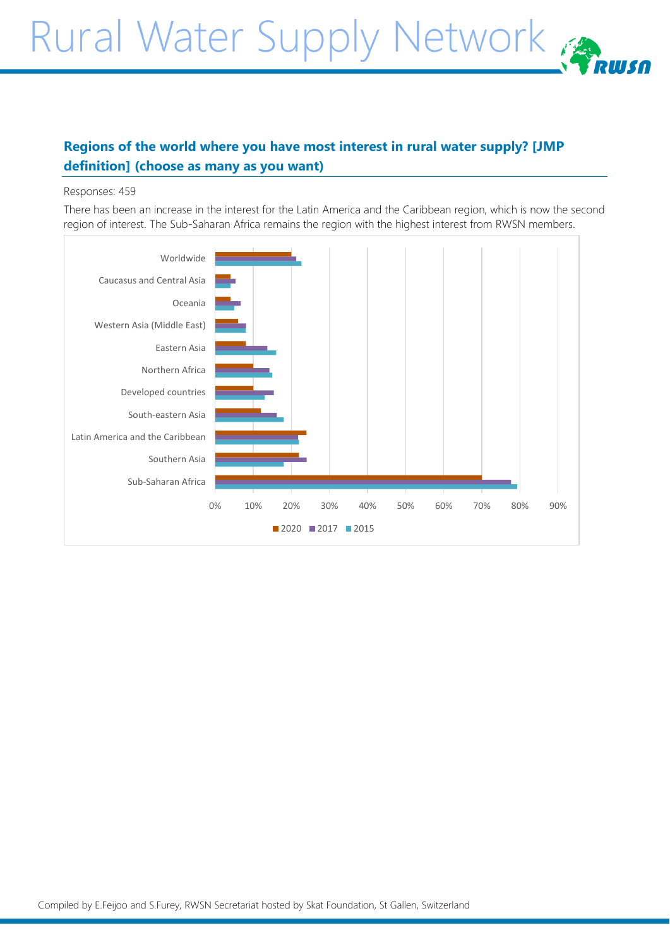# Rural Water Supply Network

# **Regions of the world where you have most interest in rural water supply? [JMP definition] (choose as many as you want)**

#### Responses: 459

There has been an increase in the interest for the Latin America and the Caribbean region, which is now the second region of interest. The Sub-Saharan Africa remains the region with the highest interest from RWSN members.

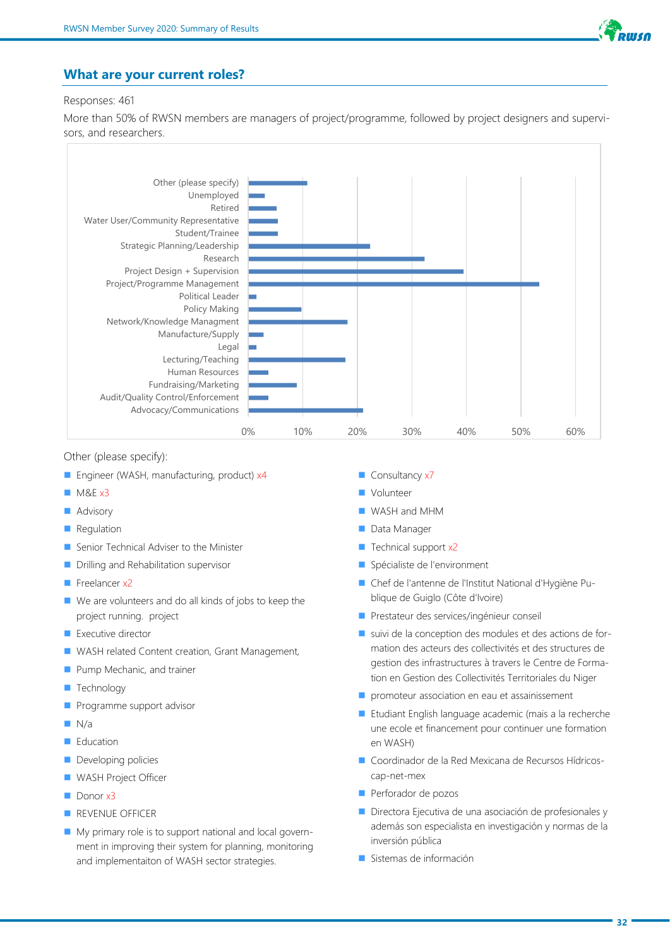

#### **What are your current roles?**

#### Responses: 461

More than 50% of RWSN members are managers of project/programme, followed by project designers and supervisors, and researchers.



Other (please specify):

- Engineer (WASH, manufacturing, product) x4
- $MSE x3$
- Advisory
- Regulation
- Senior Technical Adviser to the Minister
- Drilling and Rehabilitation supervisor
- Freelancer x2
- We are volunteers and do all kinds of jobs to keep the project running. project
- Executive director
- WASH related Content creation, Grant Management,
- Pump Mechanic, and trainer
- Technology
- Programme support advisor
- $\Box$  N/a
- Education
- Developing policies
- WASH Project Officer
- Donor x3
- REVENUE OFFICER
- My primary role is to support national and local government in improving their system for planning, monitoring and implementaiton of WASH sector strategies.
- Consultancy x7
- Volunteer
- WASH and MHM
- Data Manager
- Technical support x2
- Spécialiste de l'environment
- Chef de l'antenne de l'Institut National d'Hygiène Publique de Guiglo (Côte d'Ivoire)
- Prestateur des services/ingénieur conseil
- suivi de la conception des modules et des actions de formation des acteurs des collectivités et des structures de gestion des infrastructures à travers le Centre de Formation en Gestion des Collectivités Territoriales du Niger
- promoteur association en eau et assainissement
- Etudiant English language academic (mais a la recherche une ecole et financement pour continuer une formation en WASH)
- Coordinador de la Red Mexicana de Recursos Hídricoscap-net-mex
- Perforador de pozos
- Directora Ejecutiva de una asociación de profesionales y además son especialista en investigación y normas de la inversión pública
- Sistemas de información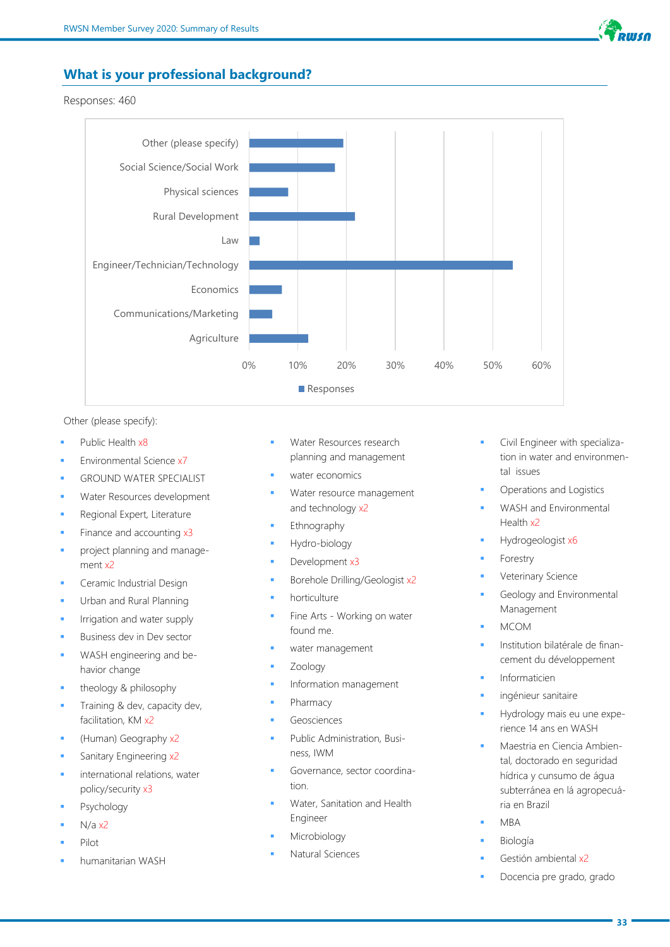

#### **What is your professional background?**

Responses: 460



Other (please specify):

- Public Health x8
- Environmental Science x7
- **GROUND WATER SPECIALIST**
- Water Resources development
- Regional Expert, Literature
- Finance and accounting x3
- project planning and management x2
- Ceramic Industrial Design
- Urban and Rural Planning
- Irrigation and water supply
- **Business dev in Dev sector**
- WASH engineering and behavior change
- theology & philosophy
- Training & dev, capacity dev, facilitation, KM x2
- (Human) Geography x2
- Sanitary Engineering x2
- international relations, water policy/security x3
- Psychology
- $N/a$   $x2$
- Pilot
- humanitarian WASH
- Water Resources research planning and management
- water economics
- Water resource management and technology x2
- **Ethnography**
- Hydro-biology
- Development x3
- Borehole Drilling/Geologist x2
- horticulture
- Fine Arts Working on water found me.
- water management
- **Zoology**
- Information management
- Pharmacy
- Geosciences
- Public Administration, Business, IWM
- Governance, sector coordination.
- Water, Sanitation and Health Engineer
- Microbiology
- Natural Sciences
- Civil Engineer with specialization in water and environmental issues
- Operations and Logistics
- WASH and Environmental Health x2
- Hydrogeologist x6
- **Forestry**
- Veterinary Science
- Geology and Environmental Management
- MCOM
- Institution bilatérale de financement du développement
- **Informaticien**
- ingénieur sanitaire
- Hydrology mais eu une experience 14 ans en WASH
- Maestria en Ciencia Ambiental, doctorado en seguridad hídrica y cunsumo de água subterránea en lá agropecuária en Brazil
- **MBA**
- **Biología**
- Gestión ambiental x2
- Docencia pre grado, grado